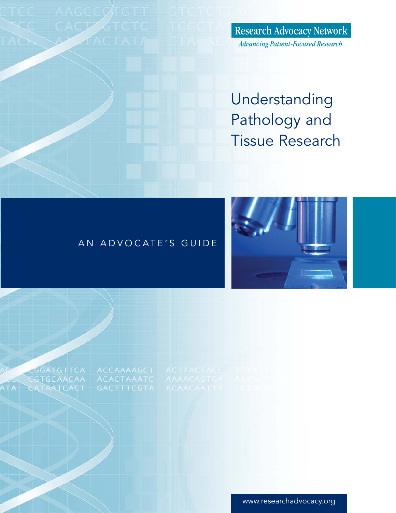Research Advocacy Network **Advancing Patient-Focused Research** 

Understanding Pathology and Tissue Research

# AN ADVOCATE'S GUIDE

CACT STOTE



CGGATGTTCA **EGTGCAACAA** *EATAATCACT*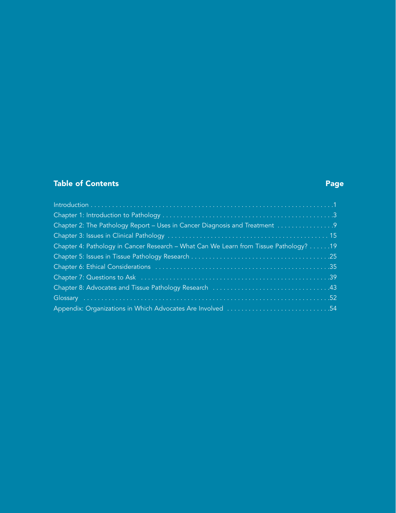# Table of Contents **Page 1986**

| Chapter 2: The Pathology Report – Uses in Cancer Diagnosis and Treatment              |  |
|---------------------------------------------------------------------------------------|--|
|                                                                                       |  |
| Chapter 4: Pathology in Cancer Research - What Can We Learn from Tissue Pathology? 19 |  |
|                                                                                       |  |
|                                                                                       |  |
|                                                                                       |  |
|                                                                                       |  |
|                                                                                       |  |
| Appendix: Organizations in Which Advocates Are Involved 54                            |  |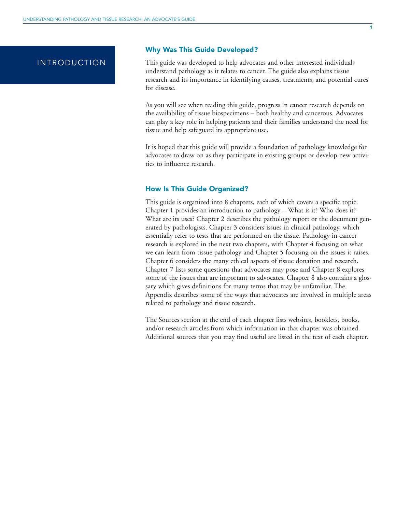### INTRODUCTION

#### Why Was This Guide Developed?

This guide was developed to help advocates and other interested individuals understand pathology as it relates to cancer. The guide also explains tissue research and its importance in identifying causes, treatments, and potential cures for disease.

As you will see when reading this guide, progress in cancer research depends on the availability of tissue biospecimens – both healthy and cancerous. Advocates can play a key role in helping patients and their families understand the need for tissue and help safeguard its appropriate use.

It is hoped that this guide will provide a foundation of pathology knowledge for advocates to draw on as they participate in existing groups or develop new activities to influence research.

#### How Is This Guide Organized?

This guide is organized into 8 chapters, each of which covers a specific topic. Chapter 1 provides an introduction to pathology – What is it? Who does it? What are its uses? Chapter 2 describes the pathology report or the document generated by pathologists. Chapter 3 considers issues in clinical pathology, which essentially refer to tests that are performed on the tissue. Pathology in cancer research is explored in the next two chapters, with Chapter 4 focusing on what we can learn from tissue pathology and Chapter 5 focusing on the issues it raises. Chapter 6 considers the many ethical aspects of tissue donation and research. Chapter 7 lists some questions that advocates may pose and Chapter 8 explores some of the issues that are important to advocates. Chapter 8 also contains a glossary which gives definitions for many terms that may be unfamiliar. The Appendix describes some of the ways that advocates are involved in multiple areas related to pathology and tissue research.

The Sources section at the end of each chapter lists websites, booklets, books, and/or research articles from which information in that chapter was obtained. Additional sources that you may find useful are listed in the text of each chapter.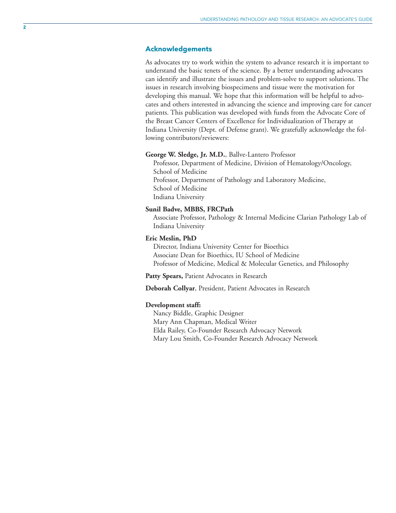#### Acknowledgements

As advocates try to work within the system to advance research it is important to understand the basic tenets of the science. By a better understanding advocates can identify and illustrate the issues and problem-solve to support solutions. The issues in research involving biospecimens and tissue were the motivation for developing this manual. We hope that this information will be helpful to advocates and others interested in advancing the science and improving care for cancer patients. This publication was developed with funds from the Advocate Core of the Breast Cancer Centers of Excellence for Individualization of Therapy at Indiana University (Dept. of Defense grant). We gratefully acknowledge the following contributors/reviewers:

#### **George W. Sledge, Jr. M.D.**, Ballve-Lantero Professor

Professor, Department of Medicine, Division of Hematology/Oncology, School of Medicine Professor, Department of Pathology and Laboratory Medicine, School of Medicine Indiana University

#### **Sunil Badve, MBBS, FRCPath**

Associate Professor, Pathology & Internal Medicine Clarian Pathology Lab of Indiana University

#### **Eric Meslin, PhD**

Director, Indiana University Center for Bioethics Associate Dean for Bioethics, IU School of Medicine Professor of Medicine, Medical & Molecular Genetics, and Philosophy

**Patty Spears,** Patient Advocates in Research

**Deborah Collyar**, President, Patient Advocates in Research

#### **Development staff:**

Nancy Biddle, Graphic Designer Mary Ann Chapman, Medical Writer Elda Railey, Co-Founder Research Advocacy Network Mary Lou Smith, Co-Founder Research Advocacy Network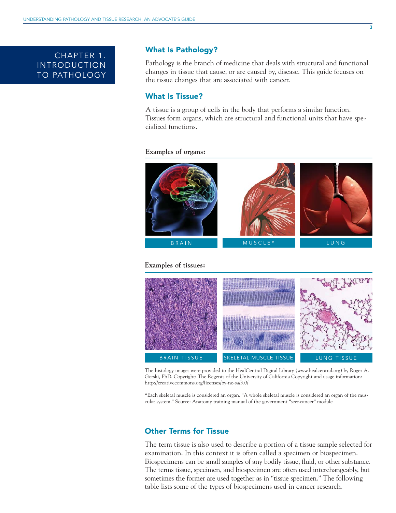### CHAPTER 1. INTRODUCTION TO PATHOLOGY

### What Is Pathology?

Pathology is the branch of medicine that deals with structural and functional changes in tissue that cause, or are caused by, disease. This guide focuses on the tissue changes that are associated with cancer.

### What Is Tissue?

A tissue is a group of cells in the body that performs a similar function. Tissues form organs, which are structural and functional units that have specialized functions.

#### **Examples of organs:**



#### **Examples of tissues:**



The histology images were provided to the HealCentral Digital Library (www.healcentral.org) by Roger A. Gorski, PhD. Copyright: The Regents of the University of California Copyright and usage information: http://creativecommons.org/licenses/by-nc-sa/3.0/

\*Each skeletal muscle is considered an organ. "A whole skeletal muscle is considered an organ of the muscular system." Source: Anatomy training manual of the government "seer.cancer" module

### Other Terms for Tissue

The term tissue is also used to describe a portion of a tissue sample selected for examination. In this context it is often called a specimen or biospecimen. Biospecimens can be small samples of any bodily tissue, fluid, or other substance. The terms tissue, specimen, and biospecimen are often used interchangeably, but sometimes the former are used together as in "tissue specimen." The following table lists some of the types of biospecimens used in cancer research.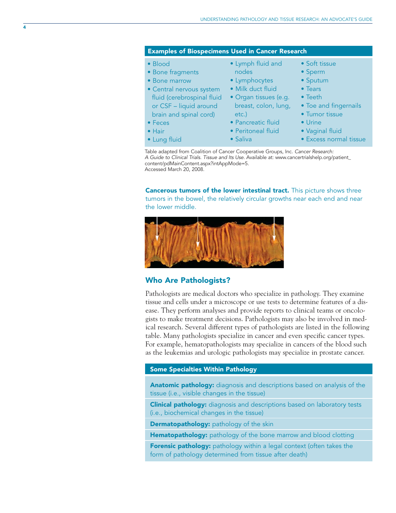| <b>Examples of Biospecimens Used in Cancer Research</b>                                                                                                                                                         |                                                                                                                                                                                    |                                                                                                                                                                       |
|-----------------------------------------------------------------------------------------------------------------------------------------------------------------------------------------------------------------|------------------------------------------------------------------------------------------------------------------------------------------------------------------------------------|-----------------------------------------------------------------------------------------------------------------------------------------------------------------------|
| • Blood<br>• Bone fragments<br>• Bone marrow<br>• Central nervous system<br>fluid (cerebrospinal fluid<br>or CSF - liquid around<br>brain and spinal cord)<br>$\bullet$ Feces<br>$\bullet$ Hair<br>• Lung fluid | • Lymph fluid and<br>nodes<br>• Lymphocytes<br>· Milk duct fluid<br>• Organ tissues (e.g.<br>breast, colon, lung,<br>etc.)<br>• Pancreatic fluid<br>• Peritoneal fluid<br>• Saliva | • Soft tissue<br>• Sperm<br>• Sputum<br>$\bullet$ Tears<br>• Teeth<br>• Toe and fingernails<br>• Tumor tissue<br>• Urine<br>· Vaginal fluid<br>· Excess normal tissue |
|                                                                                                                                                                                                                 |                                                                                                                                                                                    |                                                                                                                                                                       |

Table adapted from Coalition of Cancer Cooperative Groups, Inc. Cancer Research: A Guide to Clinical Trials. Tissue and Its Use. Available at: www.cancertrialshelp.org/patient\_ content/pdMainContent.aspx?intAppMode=5. Accessed March 20, 2008.

Cancerous tumors of the lower intestinal tract. This picture shows three tumors in the bowel, the relatively circular growths near each end and near the lower middle.



### Who Are Pathologists?

Pathologists are medical doctors who specialize in pathology. They examine tissue and cells under a microscope or use tests to determine features of a disease. They perform analyses and provide reports to clinical teams or oncologists to make treatment decisions. Pathologists may also be involved in medical research. Several different types of pathologists are listed in the following table. Many pathologists specialize in cancer and even specific cancer types. For example, hematopathologists may specialize in cancers of the blood such as the leukemias and urologic pathologists may specialize in prostate cancer.

#### Some Specialties Within Pathology

Anatomic pathology: diagnosis and descriptions based on analysis of the tissue (i.e., visible changes in the tissue)

**Clinical pathology:** diagnosis and descriptions based on laboratory tests (i.e., biochemical changes in the tissue)

Dermatopathology: pathology of the skin

Hematopathology: pathology of the bone marrow and blood clotting

**Forensic pathology:** pathology within a legal context (often takes the form of pathology determined from tissue after death)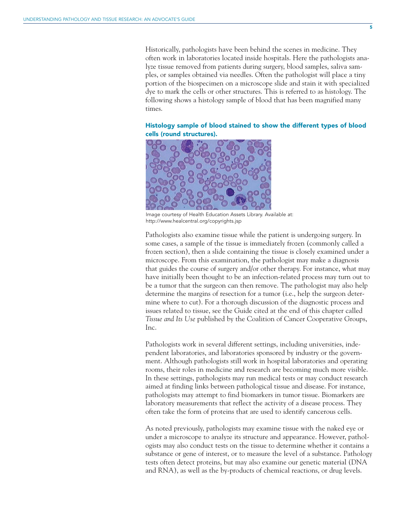Historically, pathologists have been behind the scenes in medicine. They often work in laboratories located inside hospitals. Here the pathologists analyze tissue removed from patients during surgery, blood samples, saliva samples, or samples obtained via needles. Often the pathologist will place a tiny portion of the biospecimen on a microscope slide and stain it with specialized dye to mark the cells or other structures. This is referred to as histology. The following shows a histology sample of blood that has been magnified many times.

### Histology sample of blood stained to show the different types of blood cells (round structures).



Image courtesy of Health Education Assets Library. Available at: http://www.healcentral.org/copyrights.jsp

Pathologists also examine tissue while the patient is undergoing surgery. In some cases, a sample of the tissue is immediately frozen (commonly called a frozen section), then a slide containing the tissue is closely examined under a microscope. From this examination, the pathologist may make a diagnosis that guides the course of surgery and/or other therapy. For instance, what may have initially been thought to be an infection-related process may turn out to be a tumor that the surgeon can then remove. The pathologist may also help determine the margins of resection for a tumor (i.e., help the surgeon determine where to cut). For a thorough discussion of the diagnostic process and issues related to tissue, see the Guide cited at the end of this chapter called *Tissue and Its Use* published by the Coalition of Cancer Cooperative Groups, Inc.

Pathologists work in several different settings, including universities, independent laboratories, and laboratories sponsored by industry or the government. Although pathologists still work in hospital laboratories and operating rooms, their roles in medicine and research are becoming much more visible. In these settings, pathologists may run medical tests or may conduct research aimed at finding links between pathological tissue and disease. For instance, pathologists may attempt to find biomarkers in tumor tissue. Biomarkers are laboratory measurements that reflect the activity of a disease process. They often take the form of proteins that are used to identify cancerous cells.

As noted previously, pathologists may examine tissue with the naked eye or under a microscope to analyze its structure and appearance. However, pathologists may also conduct tests on the tissue to determine whether it contains a substance or gene of interest, or to measure the level of a substance. Pathology tests often detect proteins, but may also examine our genetic material (DNA and RNA), as well as the by-products of chemical reactions, or drug levels.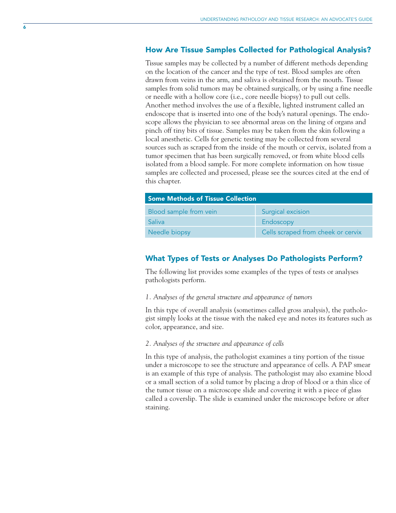### How Are Tissue Samples Collected for Pathological Analysis?

Tissue samples may be collected by a number of different methods depending on the location of the cancer and the type of test. Blood samples are often drawn from veins in the arm, and saliva is obtained from the mouth. Tissue samples from solid tumors may be obtained surgically, or by using a fine needle or needle with a hollow core (i.e., core needle biopsy) to pull out cells. Another method involves the use of a flexible, lighted instrument called an endoscope that is inserted into one of the body's natural openings. The endoscope allows the physician to see abnormal areas on the lining of organs and pinch off tiny bits of tissue. Samples may be taken from the skin following a local anesthetic. Cells for genetic testing may be collected from several sources such as scraped from the inside of the mouth or cervix, isolated from a tumor specimen that has been surgically removed, or from white blood cells isolated from a blood sample. For more complete information on how tissue samples are collected and processed, please see the sources cited at the end of this chapter.

| <b>Some Methods of Tissue Collection</b> |                                    |  |
|------------------------------------------|------------------------------------|--|
| Blood sample from vein                   | Surgical excision                  |  |
| Saliva                                   | Endoscopy                          |  |
| Needle biopsy                            | Cells scraped from cheek or cervix |  |

### What Types of Tests or Analyses Do Pathologists Perform?

The following list provides some examples of the types of tests or analyses pathologists perform.

*1. Analyses of the general structure and appearance of tumors*

In this type of overall analysis (sometimes called gross analysis), the pathologist simply looks at the tissue with the naked eye and notes its features such as color, appearance, and size.

#### *2. Analyses of the structure and appearance of cells*

In this type of analysis, the pathologist examines a tiny portion of the tissue under a microscope to see the structure and appearance of cells. A PAP smear is an example of this type of analysis. The pathologist may also examine blood or a small section of a solid tumor by placing a drop of blood or a thin slice of the tumor tissue on a microscope slide and covering it with a piece of glass called a coverslip. The slide is examined under the microscope before or after staining.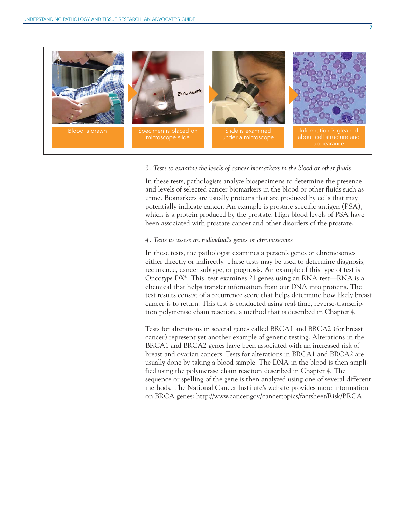

#### *3. Tests to examine the levels of cancer biomarkers in the blood or other fluids*

In these tests, pathologists analyze biospecimens to determine the presence and levels of selected cancer biomarkers in the blood or other fluids such as urine. Biomarkers are usually proteins that are produced by cells that may potentially indicate cancer. An example is prostate specific antigen (PSA), which is a protein produced by the prostate. High blood levels of PSA have been associated with prostate cancer and other disorders of the prostate.

#### *4. Tests to assess an individual's genes or chromosomes*

In these tests, the pathologist examines a person's genes or chromosomes either directly or indirectly. These tests may be used to determine diagnosis, recurrence, cancer subtype, or prognosis. An example of this type of test is Onco*type* DX®. This test examines 21 genes using an RNA test—RNA is a chemical that helps transfer information from our DNA into proteins. The test results consist of a recurrence score that helps determine how likely breast cancer is to return. This test is conducted using real-time, reverse-transcription polymerase chain reaction, a method that is described in Chapter 4.

Tests for alterations in several genes called BRCA1 and BRCA2 (for breast cancer) represent yet another example of genetic testing. Alterations in the BRCA1 and BRCA2 genes have been associated with an increased risk of breast and ovarian cancers. Tests for alterations in BRCA1 and BRCA2 are usually done by taking a blood sample. The DNA in the blood is then amplified using the polymerase chain reaction described in Chapter 4. The sequence or spelling of the gene is then analyzed using one of several different methods. The National Cancer Institute's website provides more information on BRCA genes: http://www.cancer.gov/cancertopics/factsheet/Risk/BRCA.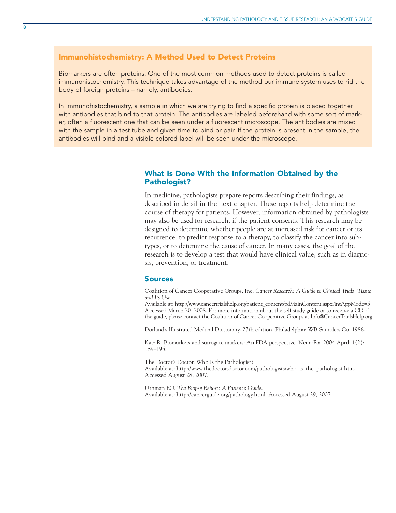### Immunohistochemistry: A Method Used to Detect Proteins

Biomarkers are often proteins. One of the most common methods used to detect proteins is called immunohistochemistry. This technique takes advantage of the method our immune system uses to rid the body of foreign proteins – namely, antibodies.

In immunohistochemistry, a sample in which we are trying to find a specific protein is placed together with antibodies that bind to that protein. The antibodies are labeled beforehand with some sort of marker, often a fluorescent one that can be seen under a fluorescent microscope. The antibodies are mixed with the sample in a test tube and given time to bind or pair. If the protein is present in the sample, the antibodies will bind and a visible colored label will be seen under the microscope.

### What Is Done With the Information Obtained by the Pathologist?

In medicine, pathologists prepare reports describing their findings, as described in detail in the next chapter. These reports help determine the course of therapy for patients. However, information obtained by pathologists may also be used for research, if the patient consents. This research may be designed to determine whether people are at increased risk for cancer or its recurrence, to predict response to a therapy, to classify the cancer into subtypes, or to determine the cause of cancer. In many cases, the goal of the research is to develop a test that would have clinical value, such as in diagnosis, prevention, or treatment.

### Sources

Coalition of Cancer Cooperative Groups, Inc. *Cancer Research: A Guide to Clinical Trials. Tissue and Its Use*.

Available at: http://www.cancertrialshelp.org/patient\_content/pdMainContent.aspx?intAppMode=5 Accessed March 20, 2008. For more information about the self study guide or to receive a CD of the guide, please contact the Coalition of Cancer Cooperative Groups at Info@CancerTrialsHelp.org

Dorland's Illustrated Medical Dictionary. 27th edition. Philadelphia: WB Saunders Co. 1988.

Katz R. Biomarkers and surrogate markers: An FDA perspective. NeuroRx. 2004 April; 1(2): 189–195.

The Doctor's Doctor. Who Is the Pathologist? Available at: http://www.thedoctorsdoctor.com/pathologists/who\_is\_the\_pathologist.htm. Accessed August 28, 2007.

Uthman EO. *The Biopsy Report: A Patient's Guide*. Available at: http://cancerguide.org/pathology.html. Accessed August 29, 2007.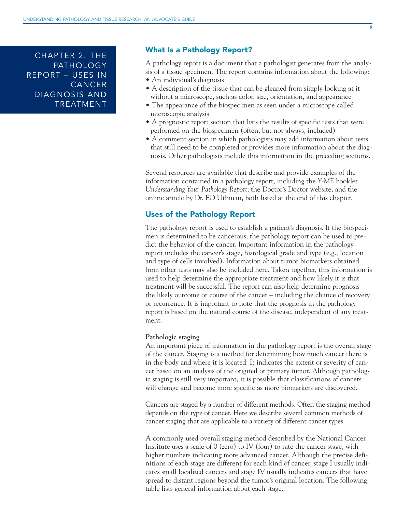CHAPTER 2. THE **PATHOLOGY** REPORT – USES IN CANCER DIAGNOSIS AND TREATMENT

### What Is a Pathology Report?

A pathology report is a document that a pathologist generates from the analysis of a tissue specimen. The report contains information about the following:

- An individual's diagnosis
- A description of the tissue that can be gleaned from simply looking at it without a microscope, such as color, size, orientation, and appearance
- The appearance of the biospecimen as seen under a microscope called microscopic analysis
- A prognostic report section that lists the results of specific tests that were performed on the biospecimen (often, but not always, included)
- A comment section in which pathologists may add information about tests that still need to be completed or provides more information about the diagnosis. Other pathologists include this information in the preceding sections.

Several resources are available that describe and provide examples of the information contained in a pathology report, including the Y-ME booklet *Understanding Your Pathology Report*, the Doctor's Doctor website, and the online article by Dr. EO Uthman, both listed at the end of this chapter.

### Uses of the Pathology Report

The pathology report is used to establish a patient's diagnosis. If the biospecimen is determined to be cancerous, the pathology report can be used to predict the behavior of the cancer. Important information in the pathology report includes the cancer's stage, histological grade and type (e.g., location and type of cells involved). Information about tumor biomarkers obtained from other tests may also be included here. Taken together, this information is used to help determine the appropriate treatment and how likely it is that treatment will be successful. The report can also help determine prognosis – the likely outcome or course of the cancer – including the chance of recovery or recurrence. It is important to note that the prognosis in the pathology report is based on the natural course of the disease, independent of any treatment.

#### **Pathologic staging**

An important piece of information in the pathology report is the overall stage of the cancer. Staging is a method for determining how much cancer there is in the body and where it is located. It indicates the extent or severity of cancer based on an analysis of the original or primary tumor. Although pathologic staging is still very important, it is possible that classifications of cancers will change and become more specific as more biomarkers are discovered.

Cancers are staged by a number of different methods. Often the staging method depends on the type of cancer. Here we describe several common methods of cancer staging that are applicable to a variety of different cancer types.

A commonly-used overall staging method described by the National Cancer Institute uses a scale of  $\theta$  (zero) to IV (four) to rate the cancer stage, with higher numbers indicating more advanced cancer. Although the precise definitions of each stage are different for each kind of cancer, stage I usually indicates small localized cancers and stage IV usually indicates cancers that have spread to distant regions beyond the tumor's original location. The following table lists general information about each stage.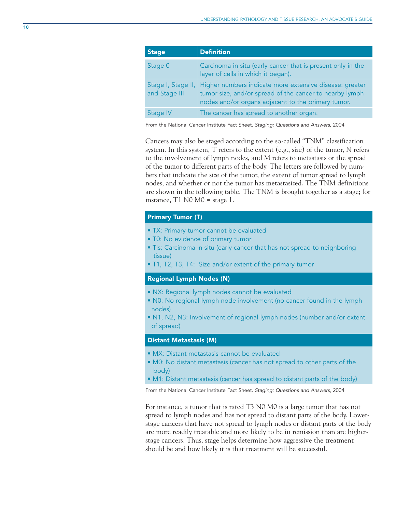| <b>Stage</b>                        | <b>Definition</b>                                                                                                                                                        |
|-------------------------------------|--------------------------------------------------------------------------------------------------------------------------------------------------------------------------|
| Stage 0                             | Carcinoma in situ (early cancer that is present only in the<br>layer of cells in which it began).                                                                        |
| Stage I, Stage II,<br>and Stage III | Higher numbers indicate more extensive disease: greater<br>tumor size, and/or spread of the cancer to nearby lymph<br>nodes and/or organs adjacent to the primary tumor. |
| Stage IV                            | The cancer has spread to another organ.                                                                                                                                  |

From the National Cancer Institute Fact Sheet. Staging: Questions and Answers, 2004

Cancers may also be staged according to the so-called "TNM" classification system. In this system, T refers to the extent (e.g., size) of the tumor, N refers to the involvement of lymph nodes, and M refers to metastasis or the spread of the tumor to different parts of the body. The letters are followed by numbers that indicate the size of the tumor, the extent of tumor spread to lymph nodes, and whether or not the tumor has metastasized. The TNM definitions are shown in the following table. The TNM is brought together as a stage; for instance,  $T1$  NO MO = stage 1.

#### Primary Tumor (T)

- TX: Primary tumor cannot be evaluated
- T0: No evidence of primary tumor
- Tis: Carcinoma in situ (early cancer that has not spread to neighboring tissue)
- T1, T2, T3, T4: Size and/or extent of the primary tumor

#### Regional Lymph Nodes (N)

- NX: Regional lymph nodes cannot be evaluated
- N0: No regional lymph node involvement (no cancer found in the lymph nodes)
- N1, N2, N3: Involvement of regional lymph nodes (number and/or extent of spread)

#### Distant Metastasis (M)

- MX: Distant metastasis cannot be evaluated
- M0: No distant metastasis (cancer has not spread to other parts of the body)
- M1: Distant metastasis (cancer has spread to distant parts of the body)

From the National Cancer Institute Fact Sheet. Staging: Questions and Answers, 2004

For instance, a tumor that is rated T3 N0 M0 is a large tumor that has not spread to lymph nodes and has not spread to distant parts of the body. Lowerstage cancers that have not spread to lymph nodes or distant parts of the body are more readily treatable and more likely to be in remission than are higherstage cancers. Thus, stage helps determine how aggressive the treatment should be and how likely it is that treatment will be successful.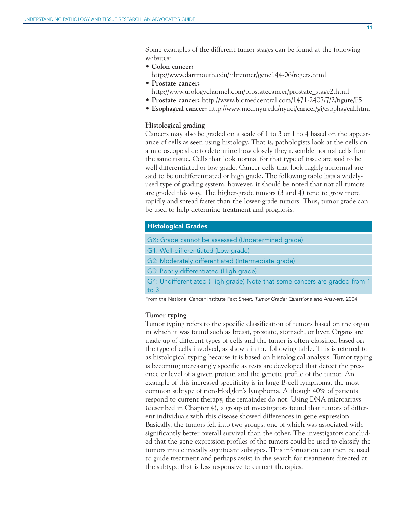Some examples of the different tumor stages can be found at the following websites:

- **Colon cancer:**  http://www.dartmouth.edu/~brenner/gene144-06/rogers.html
- **Prostate cancer:** http://www.urologychannel.com/prostatecancer/prostate\_stage2.html
- **Prostate cancer:** http://www.biomedcentral.com/1471-2407/7/2/figure/F5
- **Esophageal cancer:** http://www.med.nyu.edu/nyuci/cancer/gi/esophageal.html

#### **Histological grading**

Cancers may also be graded on a scale of 1 to 3 or 1 to 4 based on the appearance of cells as seen using histology. That is, pathologists look at the cells on a microscope slide to determine how closely they resemble normal cells from the same tissue. Cells that look normal for that type of tissue are said to be well differentiated or low grade. Cancer cells that look highly abnormal are said to be undifferentiated or high grade. The following table lists a widelyused type of grading system; however, it should be noted that not all tumors are graded this way. The higher-grade tumors (3 and 4) tend to grow more rapidly and spread faster than the lower-grade tumors. Thus, tumor grade can be used to help determine treatment and prognosis.

### Histological Grades

GX: Grade cannot be assessed (Undetermined grade)

G1: Well-differentiated (Low grade)

G2: Moderately differentiated (Intermediate grade)

G3: Poorly differentiated (High grade)

G4: Undifferentiated (High grade) Note that some cancers are graded from 1 to 3

From the National Cancer Institute Fact Sheet. Tumor Grade: Questions and Answers, 2004

#### **Tumor typing**

Tumor typing refers to the specific classification of tumors based on the organ in which it was found such as breast, prostate, stomach, or liver. Organs are made up of different types of cells and the tumor is often classified based on the type of cells involved, as shown in the following table. This is referred to as histological typing because it is based on histological analysis. Tumor typing is becoming increasingly specific as tests are developed that detect the presence or level of a given protein and the genetic profile of the tumor. An example of this increased specificity is in large B-cell lymphoma, the most common subtype of non-Hodgkin's lymphoma. Although 40% of patients respond to current therapy, the remainder do not. Using DNA microarrays (described in Chapter 4), a group of investigators found that tumors of different individuals with this disease showed differences in gene expression. Basically, the tumors fell into two groups, one of which was associated with significantly better overall survival than the other. The investigators concluded that the gene expression profiles of the tumors could be used to classify the tumors into clinically significant subtypes. This information can then be used to guide treatment and perhaps assist in the search for treatments directed at the subtype that is less responsive to current therapies.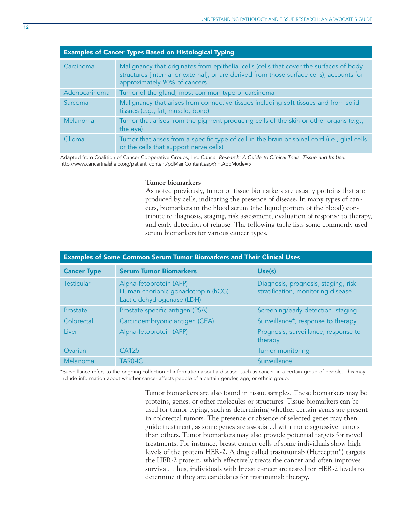| <b>Examples of Cancer Types Based on Histological Typing</b> |                                                                                                                                                                                                                      |  |
|--------------------------------------------------------------|----------------------------------------------------------------------------------------------------------------------------------------------------------------------------------------------------------------------|--|
| Carcinoma                                                    | Malignancy that originates from epithelial cells (cells that cover the surfaces of body<br>structures [internal or external], or are derived from those surface cells), accounts for<br>approximately 90% of cancers |  |
| Adenocarinoma                                                | Tumor of the gland, most common type of carcinoma                                                                                                                                                                    |  |
| Sarcoma                                                      | Malignancy that arises from connective tissues including soft tissues and from solid<br>tissues (e.g., fat, muscle, bone)                                                                                            |  |
| Melanoma                                                     | Tumor that arises from the pigment producing cells of the skin or other organs (e.g.,<br>the eye)                                                                                                                    |  |
| Glioma                                                       | Tumor that arises from a specific type of cell in the brain or spinal cord (i.e., glial cells<br>or the cells that support nerve cells)                                                                              |  |

Adapted from Coalition of Cancer Cooperative Groups, Inc. Cancer Research: A Guide to Clinical Trials. Tissue and Its Use. http://www.cancertrialshelp.org/patient\_content/pdMainContent.aspx?intAppMode=5

#### **Tumor biomarkers**

As noted previously, tumor or tissue biomarkers are usually proteins that are produced by cells, indicating the presence of disease. In many types of cancers, biomarkers in the blood serum (the liquid portion of the blood) contribute to diagnosis, staging, risk assessment, evaluation of response to therapy, and early detection of relapse. The following table lists some commonly used serum biomarkers for various cancer types.

| <b>Examples of Some Common Serum Tumor Biomarkers and Their Clinical Uses</b> |                                                                                             |                                                                           |
|-------------------------------------------------------------------------------|---------------------------------------------------------------------------------------------|---------------------------------------------------------------------------|
| <b>Cancer Type</b>                                                            | <b>Serum Tumor Biomarkers</b>                                                               | Use(s)                                                                    |
| <b>Testicular</b>                                                             | Alpha-fetoprotein (AFP)<br>Human chorionic gonadotropin (hCG)<br>Lactic dehydrogenase (LDH) | Diagnosis, prognosis, staging, risk<br>stratification, monitoring disease |
| Prostate                                                                      | Prostate specific antigen (PSA)                                                             | Screening/early detection, staging                                        |
| Colorectal                                                                    | Carcinoembryonic antigen (CEA)                                                              | Surveillance*, response to therapy                                        |
| Liver                                                                         | Alpha-fetoprotein (AFP)                                                                     | Prognosis, surveillance, response to<br>therapy                           |
| Ovarian                                                                       | CA125                                                                                       | Tumor monitoring                                                          |
| Melanoma                                                                      | <b>TA90-IC</b>                                                                              | Surveillance                                                              |

\*Surveillance refers to the ongoing collection of information about a disease, such as cancer, in a certain group of people. This may include information about whether cancer affects people of a certain gender, age, or ethnic group.

> Tumor biomarkers are also found in tissue samples. These biomarkers may be proteins, genes, or other molecules or structures. Tissue biomarkers can be used for tumor typing, such as determining whether certain genes are present in colorectal tumors. The presence or absence of selected genes may then guide treatment, as some genes are associated with more aggressive tumors than others. Tumor biomarkers may also provide potential targets for novel treatments. For instance, breast cancer cells of some individuals show high levels of the protein HER-2. A drug called trastuzumab (Herceptin®) targets the HER-2 protein, which effectively treats the cancer and often improves survival. Thus, individuals with breast cancer are tested for HER-2 levels to determine if they are candidates for trastuzumab therapy.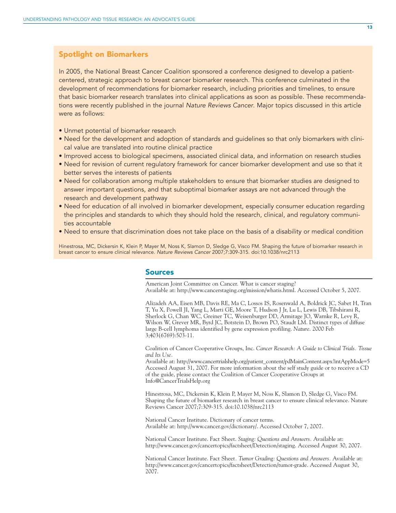### Spotlight on Biomarkers

In 2005, the National Breast Cancer Coalition sponsored a conference designed to develop a patientcentered, strategic approach to breast cancer biomarker research. This conference culminated in the development of recommendations for biomarker research, including priorities and timelines, to ensure that basic biomarker research translates into clinical applications as soon as possible. These recommendations were recently published in the journal Nature Reviews Cancer. Major topics discussed in this article were as follows:

- Unmet potential of biomarker research
- Need for the development and adoption of standards and guidelines so that only biomarkers with clinical value are translated into routine clinical practice
- Improved access to biological specimens, associated clinical data, and information on research studies
- Need for revision of current regulatory framework for cancer biomarker development and use so that it better serves the interests of patients
- Need for collaboration among multiple stakeholders to ensure that biomarker studies are designed to answer important questions, and that suboptimal biomarker assays are not advanced through the research and development pathway
- Need for education of all involved in biomarker development, especially consumer education regarding the principles and standards to which they should hold the research, clinical, and regulatory communities accountable
- Need to ensure that discrimination does not take place on the basis of a disability or medical condition

Hinestrosa, MC, Dickersin K, Klein P, Mayer M, Noss K, Slamon D, Sledge G, Visco FM. Shaping the future of biomarker research in breast cancer to ensure clinical relevance. Nature Reviews Cancer 2007;7:309-315. doi:10.1038/nrc2113

#### Sources

American Joint Committee on Cancer. What is cancer staging? Available at: http://www.cancerstaging.org/mission/whatis.html. Accessed October 5, 2007.

Alizadeh AA, Eisen MB, Davis RE, Ma C, Lossos IS, Rosenwald A, Boldrick JC, Sabet H, Tran T, Yu X, Powell JI, Yang L, Marti GE, Moore T, Hudson J Jr, Lu L, Lewis DB, Tibshirani R, Sherlock G, Chan WC, Greiner TC, Weisenburger DD, Armitage JO, Warnke R, Levy R, Wilson W, Grever MR, Byrd JC, Botstein D, Brown PO, Staudt LM. Distinct types of diffuse large B-cell lymphoma identified by gene expression profiling. *Nature*. 2000 Feb 3;403(6769):503-11.

Coalition of Cancer Cooperative Groups, Inc. *Cancer Research: A Guide to Clinical Trials. Tissue and Its Use.* 

Available at: http://www.cancertrialshelp.org/patient\_content/pdMainContent.aspx?intAppMode=5 Accessed August 31, 2007. For more information about the self study guide or to receive a CD of the guide, please contact the Coalition of Cancer Cooperative Groups at Info@CancerTrialsHelp.org

Hinestrosa, MC, Dickersin K, Klein P, Mayer M, Noss K, Slamon D, Sledge G, Visco FM. Shaping the future of biomarker research in breast cancer to ensure clinical relevance. Nature Reviews Cancer 2007;7:309-315. doi:10.1038/nrc2113

National Cancer Institute. Dictionary of cancer terms. Available at: http://www.cancer.gov/dictionary/. Accessed October 7, 2007.

National Cancer Institute. Fact Sheet. *Staging: Questions and Answers.* Available at: http://www.cancer.gov/cancertopics/factsheet/Detection/staging. Accessed August 30, 2007.

National Cancer Institute. Fact Sheet*. Tumor Grading: Questions and Answers.* Available at: http://www.cancer.gov/cancertopics/factsheet/Detection/tumor-grade. Accessed August 30, 2007.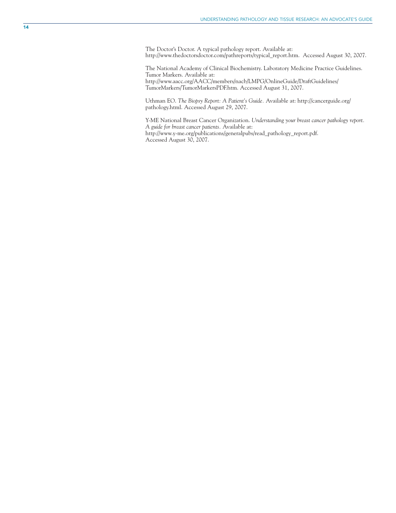The Doctor's Doctor. A typical pathology report. Available at: http://www.thedoctorsdoctor.com/pathreports/typical\_report.htm. Accessed August 30, 2007.

The National Academy of Clinical Biochemistry. Laboratory Medicine Practice Guidelines. Tumor Markers. Available at: http://www.aacc.org/AACC/members/nacb/LMPG/OnlineGuide/DraftGuidelines/ TumorMarkers/TumorMarkersPDF.htm. Accessed August 31, 2007.

Uthman EO. *The Biopsy Report: A Patient's Guide.* Available at: http://cancerguide.org/ pathology.html. Accessed August 29, 2007.

Y-ME National Breast Cancer Organization. *Understanding your breast cancer pathology report. A guide for breast cancer patients.* Available at: http://www.y-me.org/publications/generalpubs/read\_pathology\_report.pdf. Accessed August 30, 2007.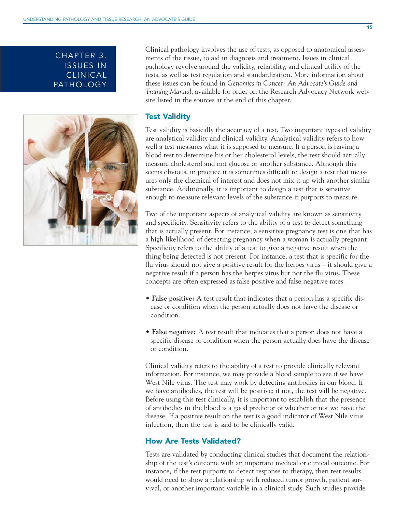### CHAPTER 3. ISSUES IN CLINICAL PATHOLOGY



Clinical pathology involves the use of tests, as opposed to anatomical assessments of the tissue, to aid in diagnosis and treatment. Issues in clinical pathology revolve around the validity, reliability, and clinical utility of the tests, as well as test regulation and standardization. More information about these issues can be found in *Genomics in Cancer: An Advocate's Guide and Training Manual*, available for order on the Research Advocacy Network website listed in the sources at the end of this chapter.

### Test Validity

Test validity is basically the accuracy of a test. Two important types of validity are analytical validity and clinical validity. Analytical validity refers to how well a test measures what it is supposed to measure. If a person is having a blood test to determine his or her cholesterol levels, the test should actually measure cholesterol and not glucose or another substance. Although this seems obvious, in practice it is sometimes difficult to design a test that measures only the chemical of interest and does not mix it up with another similar substance. Additionally, it is important to design a test that is sensitive enough to measure relevant levels of the substance it purports to measure.

Two of the important aspects of analytical validity are known as sensitivity and specificity. Sensitivity refers to the ability of a test to detect something that is actually present. For instance, a sensitive pregnancy test is one that has a high likelihood of detecting pregnancy when a woman is actually pregnant. Specificity refers to the ability of a test to give a negative result when the thing being detected is not present. For instance, a test that is specific for the flu virus should not give a positive result for the herpes virus – it should give a negative result if a person has the herpes virus but not the flu virus. These concepts are often expressed as false positive and false negative rates.

- **False positive:** A test result that indicates that a person has a specific disease or condition when the person actually does not have the disease or condition.
- **False negative:** A test result that indicates that a person does not have a specific disease or condition when the person actually does have the disease or condition.

Clinical validity refers to the ability of a test to provide clinically relevant information. For instance, we may provide a blood sample to see if we have West Nile virus. The test may work by detecting antibodies in our blood. If we have antibodies, the test will be positive; if not, the test will be negative. Before using this test clinically, it is important to establish that the presence of antibodies in the blood is a good predictor of whether or not we have the disease. If a positive result on the test is a good indicator of West Nile virus infection, then the test is said to be clinically valid.

### How Are Tests Validated?

Tests are validated by conducting clinical studies that document the relationship of the test's outcome with an important medical or clinical outcome. For instance, if the test purports to detect response to therapy, then test results would need to show a relationship with reduced tumor growth, patient survival, or another important variable in a clinical study. Such studies provide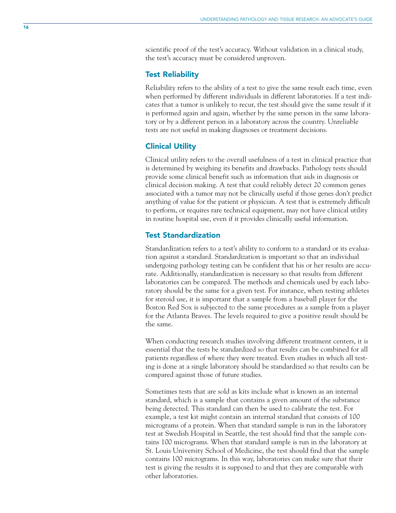scientific proof of the test's accuracy. Without validation in a clinical study, the test's accuracy must be considered unproven.

### Test Reliability

Reliability refers to the ability of a test to give the same result each time, even when performed by different individuals in different laboratories. If a test indicates that a tumor is unlikely to recur, the test should give the same result if it is performed again and again, whether by the same person in the same laboratory or by a different person in a laboratory across the country. Unreliable tests are not useful in making diagnoses or treatment decisions.

### Clinical Utility

Clinical utility refers to the overall usefulness of a test in clinical practice that is determined by weighing its benefits and drawbacks. Pathology tests should provide some clinical benefit such as information that aids in diagnosis or clinical decision making. A test that could reliably detect 20 common genes associated with a tumor may not be clinically useful if those genes don't predict anything of value for the patient or physician. A test that is extremely difficult to perform, or requires rare technical equipment, may not have clinical utility in routine hospital use, even if it provides clinically useful information.

### Test Standardization

Standardization refers to a test's ability to conform to a standard or its evaluation against a standard. Standardization is important so that an individual undergoing pathology testing can be confident that his or her results are accurate. Additionally, standardization is necessary so that results from different laboratories can be compared. The methods and chemicals used by each laboratory should be the same for a given test. For instance, when testing athletes for steroid use, it is important that a sample from a baseball player for the Boston Red Sox is subjected to the same procedures as a sample from a player for the Atlanta Braves. The levels required to give a positive result should be the same.

When conducting research studies involving different treatment centers, it is essential that the tests be standardized so that results can be combined for all patients regardless of where they were treated. Even studies in which all testing is done at a single laboratory should be standardized so that results can be compared against those of future studies.

Sometimes tests that are sold as kits include what is known as an internal standard, which is a sample that contains a given amount of the substance being detected. This standard can then be used to calibrate the test. For example, a test kit might contain an internal standard that consists of 100 micrograms of a protein. When that standard sample is run in the laboratory test at Swedish Hospital in Seattle, the test should find that the sample contains 100 micrograms. When that standard sample is run in the laboratory at St. Louis University School of Medicine, the test should find that the sample contains 100 micrograms. In this way, laboratories can make sure that their test is giving the results it is supposed to and that they are comparable with other laboratories.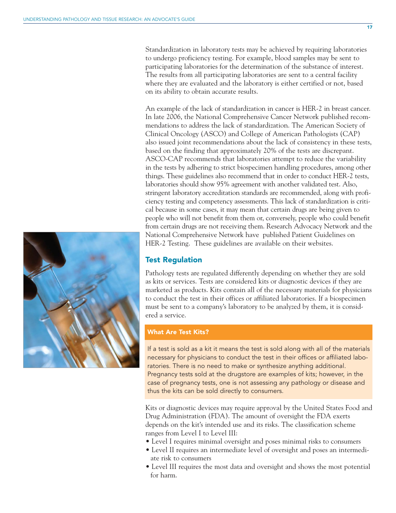Standardization in laboratory tests may be achieved by requiring laboratories to undergo proficiency testing. For example, blood samples may be sent to participating laboratories for the determination of the substance of interest. The results from all participating laboratories are sent to a central facility where they are evaluated and the laboratory is either certified or not, based on its ability to obtain accurate results.

An example of the lack of standardization in cancer is HER-2 in breast cancer. In late 2006, the National Comprehensive Cancer Network published recommendations to address the lack of standardization. The American Society of Clinical Oncology (ASCO) and College of American Pathologists (CAP) also issued joint recommendations about the lack of consistency in these tests, based on the finding that approximately 20% of the tests are discrepant. ASCO-CAP recommends that laboratories attempt to reduce the variability in the tests by adhering to strict biospecimen handling procedures, among other things. These guidelines also recommend that in order to conduct HER-2 tests, laboratories should show 95% agreement with another validated test. Also, stringent laboratory accreditation standards are recommended, along with proficiency testing and competency assessments. This lack of standardization is critical because in some cases, it may mean that certain drugs are being given to people who will not benefit from them or, conversely, people who could benefit from certain drugs are not receiving them. Research Advocacy Network and the National Comprehensive Network have published Patient Guidelines on HER-2 Testing. These guidelines are available on their websites.

### Test Regulation

Pathology tests are regulated differently depending on whether they are sold as kits or services. Tests are considered kits or diagnostic devices if they are marketed as products. Kits contain all of the necessary materials for physicians to conduct the test in their offices or affiliated laboratories. If a biospecimen must be sent to a company's laboratory to be analyzed by them, it is considered a service.

### What Are Test Kits?

If a test is sold as a kit it means the test is sold along with all of the materials necessary for physicians to conduct the test in their offices or affiliated laboratories. There is no need to make or synthesize anything additional. Pregnancy tests sold at the drugstore are examples of kits; however, in the case of pregnancy tests, one is not assessing any pathology or disease and thus the kits can be sold directly to consumers.

Kits or diagnostic devices may require approval by the United States Food and Drug Administration (FDA). The amount of oversight the FDA exerts depends on the kit's intended use and its risks. The classification scheme ranges from Level I to Level III:

- Level I requires minimal oversight and poses minimal risks to consumers
- Level II requires an intermediate level of oversight and poses an intermediate risk to consumers
- Level III requires the most data and oversight and shows the most potential for harm.

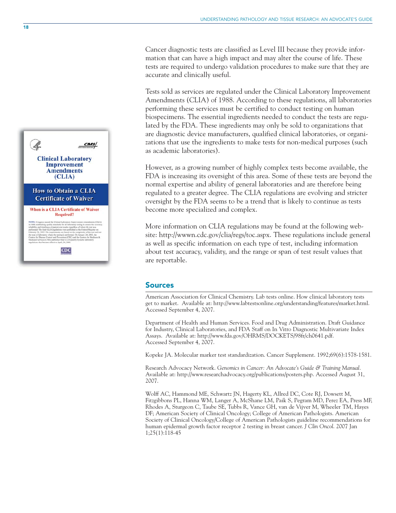Cancer diagnostic tests are classified as Level III because they provide information that can have a high impact and may alter the course of life. These tests are required to undergo validation procedures to make sure that they are accurate and clinically useful.

Tests sold as services are regulated under the Clinical Laboratory Improvement Amendments (CLIA) of 1988. According to these regulations, all laboratories performing these services must be certified to conduct testing on human biospecimens. The essential ingredients needed to conduct the tests are regulated by the FDA. These ingredients may only be sold to organizations that are diagnostic device manufacturers, qualified clinical laboratories, or organizations that use the ingredients to make tests for non-medical purposes (such as academic laboratories).

However, as a growing number of highly complex tests become available, the FDA is increasing its oversight of this area. Some of these tests are beyond the normal expertise and ability of general laboratories and are therefore being regulated to a greater degree. The CLIA regulations are evolving and stricter oversight by the FDA seems to be a trend that is likely to continue as tests become more specialized and complex.

More information on CLIA regulations may be found at the following website: http://wwwn.cdc.gov/clia/regs/toc.aspx. These regulations include general as well as specific information on each type of test, including information about test accuracy, validity, and the range or span of test result values that are reportable.

#### Sources

American Association for Clinical Chemistry. Lab tests online. How clinical laboratory tests get to market. Available at: http://www.labtestsonline.org/understanding/features/market.html. Accessed September 4, 2007.

Department of Health and Human Services. Food and Drug Administration. Draft Guidance for Industry, Clinical Laboratories, and FDA Staff on In Vitro Diagnostic Multivariate Index Assays. Available at: http://www.fda.gov/OHRMS/DOCKETS/98fr/ch0641.pdf. Accessed September 4, 2007.

Kopeke JA. Molecular marker test standardization. Cancer Supplement. 1992;69(6):1578-1581.

Research Advocacy Network. *Genomics in Cancer: An Advocate's Guide & Training Manual.* Available at: http://www.researchadvocacy.org/publications/posters.php. Accessed August 31, 2007.

Wolff AC, Hammond ME, Schwartz JN, Hagerty KL, Allred DC, Cote RJ, Dowsett M, Fitzgibbons PL, Hanna WM, Langer A, McShane LM, Paik S, Pegram MD, Perez EA, Press MF, Rhodes A, Sturgeon C, Taube SE, Tubbs R, Vance GH, van de Vijver M, Wheeler TM, Hayes DF; American Society of Clinical Oncology; College of American Pathologists. American Society of Clinical Oncology/College of American Pathologists guideline recommendations for human epidermal growth factor receptor 2 testing in breast cancer. *J Clin Oncol*. 2007 Jan 1;25(1):118-45

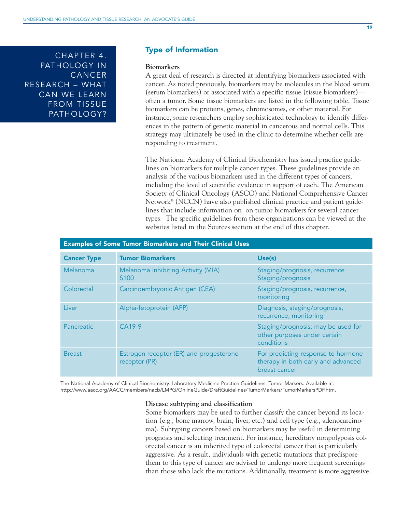CHAPTER 4. PATHOLOGY IN CANCER RESEARCH – WHAT CAN WE LEARN FROM TISSUE PATHOLOGY?

### Type of Information

#### **Biomarkers**

A great deal of research is directed at identifying biomarkers associated with cancer. As noted previously, biomarkers may be molecules in the blood serum (serum biomarkers) or associated with a specific tissue (tissue biomarkers) often a tumor. Some tissue biomarkers are listed in the following table. Tissue biomarkers can be proteins, genes, chromosomes, or other material. For instance, some researchers employ sophisticated technology to identify differences in the pattern of genetic material in cancerous and normal cells. This strategy may ultimately be used in the clinic to determine whether cells are responding to treatment.

The National Academy of Clinical Biochemistry has issued practice guidelines on biomarkers for multiple cancer types. These guidelines provide an analysis of the various biomarkers used in the different types of cancers, including the level of scientific evidence in support of each. The American Society of Clinical Oncology (ASCO) and National Comprehensive Cancer Network® (NCCN) have also published clinical practice and patient guidelines that include information on on tumor biomarkers for several cancer types. The specific guidelines from these organizations can be viewed at the websites listed in the Sources section at the end of this chapter.

| <b>Examples of Some Tumor Biomarkers and Their Clinical Uses</b> |                                                          |                                                                                           |
|------------------------------------------------------------------|----------------------------------------------------------|-------------------------------------------------------------------------------------------|
| <b>Cancer Type</b>                                               | <b>Tumor Biomarkers</b>                                  | Use(s)                                                                                    |
| Melanoma                                                         | Melanoma Inhibiting Activity (MIA)<br>S <sub>100</sub>   | Staging/prognosis, recurrence<br>Staging/prognosis                                        |
| Colorectal                                                       | Carcinoembryonic Antigen (CEA)                           | Staging/prognosis, recurrence,<br>monitoring                                              |
| <b>Liver</b>                                                     | Alpha-fetoprotein (AFP)                                  | Diagnosis, staging/prognosis,<br>recurrence, monitoring                                   |
| Pancreatic                                                       | CA19-9                                                   | Staging/prognosis; may be used for<br>other purposes under certain<br>conditions          |
| <b>Breast</b>                                                    | Estrogen receptor (ER) and progesterone<br>receptor (PR) | For predicting response to hormone<br>therapy in both early and advanced<br>breast cancer |

The National Academy of Clinical Biochemistry. Laboratory Medicine Practice Guidelines. Tumor Markers. Available at: http://www.aacc.org/AACC/members/nacb/LMPG/OnlineGuide/DraftGuidelines/TumorMarkers/TumorMarkersPDF.htm.

#### **Disease subtyping and classification**

Some biomarkers may be used to further classify the cancer beyond its location (e.g., bone marrow, brain, liver, etc.) and cell type (e.g., adenocarcinoma). Subtyping cancers based on biomarkers may be useful in determining prognosis and selecting treatment. For instance, hereditary nonpolyposis colorectal cancer is an inherited type of colorectal cancer that is particularly aggressive. As a result, individuals with genetic mutations that predispose them to this type of cancer are advised to undergo more frequent screenings than those who lack the mutations. Additionally, treatment is more aggressive.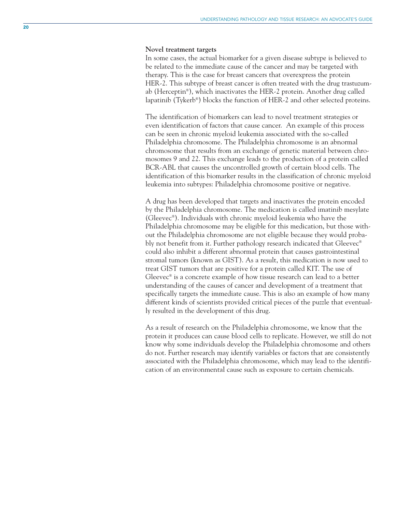#### **Novel treatment targets**

In some cases, the actual biomarker for a given disease subtype is believed to be related to the immediate cause of the cancer and may be targeted with therapy. This is the case for breast cancers that overexpress the protein HER-2. This subtype of breast cancer is often treated with the drug trastuzumab (Herceptin®), which inactivates the HER-2 protein. Another drug called lapatinib (Tykerb ®) blocks the function of HER-2 and other selected proteins.

The identification of biomarkers can lead to novel treatment strategies or even identification of factors that cause cancer. An example of this process can be seen in chronic myeloid leukemia associated with the so-called Philadelphia chromosome. The Philadelphia chromosome is an abnormal chromosome that results from an exchange of genetic material between chromosomes 9 and 22. This exchange leads to the production of a protein called BCR-ABL that causes the uncontrolled growth of certain blood cells. The identification of this biomarker results in the classification of chronic myeloid leukemia into subtypes: Philadelphia chromosome positive or negative.

A drug has been developed that targets and inactivates the protein encoded by the Philadelphia chromosome. The medication is called imatinib mesylate (Gleevec ®). Individuals with chronic myeloid leukemia who have the Philadelphia chromosome may be eligible for this medication, but those without the Philadelphia chromosome are not eligible because they would probably not benefit from it. Further pathology research indicated that Gleevec<sup>®</sup> could also inhibit a different abnormal protein that causes gastrointestinal stromal tumors (known as GIST). As a result, this medication is now used to treat GIST tumors that are positive for a protein called KIT. The use of Gleevec ® is a concrete example of how tissue research can lead to a better understanding of the causes of cancer and development of a treatment that specifically targets the immediate cause. This is also an example of how many different kinds of scientists provided critical pieces of the puzzle that eventually resulted in the development of this drug.

As a result of research on the Philadelphia chromosome, we know that the protein it produces can cause blood cells to replicate. However, we still do not know why some individuals develop the Philadelphia chromosome and others do not. Further research may identify variables or factors that are consistently associated with the Philadelphia chromosome, which may lead to the identification of an environmental cause such as exposure to certain chemicals.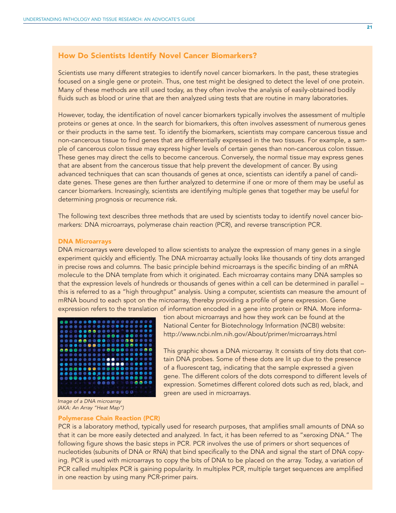#### How Do Scientists Identify Novel Cancer Biomarkers?

Scientists use many different strategies to identify novel cancer biomarkers. In the past, these strategies focused on a single gene or protein. Thus, one test might be designed to detect the level of one protein. Many of these methods are still used today, as they often involve the analysis of easily-obtained bodily fluids such as blood or urine that are then analyzed using tests that are routine in many laboratories.

However, today, the identification of novel cancer biomarkers typically involves the assessment of multiple proteins or genes at once. In the search for biomarkers, this often involves assessment of numerous genes or their products in the same test. To identify the biomarkers, scientists may compare cancerous tissue and non-cancerous tissue to find genes that are differentially expressed in the two tissues. For example, a sample of cancerous colon tissue may express higher levels of certain genes than non-cancerous colon tissue. These genes may direct the cells to become cancerous. Conversely, the normal tissue may express genes that are absent from the cancerous tissue that help prevent the development of cancer. By using advanced techniques that can scan thousands of genes at once, scientists can identify a panel of candidate genes. These genes are then further analyzed to determine if one or more of them may be useful as cancer biomarkers. Increasingly, scientists are identifying multiple genes that together may be useful for determining prognosis or recurrence risk.

The following text describes three methods that are used by scientists today to identify novel cancer biomarkers: DNA microarrays, polymerase chain reaction (PCR), and reverse transcription PCR.

#### DNA Microarrays

DNA microarrays were developed to allow scientists to analyze the expression of many genes in a single experiment quickly and efficiently. The DNA microarray actually looks like thousands of tiny dots arranged in precise rows and columns. The basic principle behind microarrays is the specific binding of an mRNA molecule to the DNA template from which it originated. Each microarray contains many DNA samples so that the expression levels of hundreds or thousands of genes within a cell can be determined in parallel – this is referred to as a "high throughput" analysis. Using a computer, scientists can measure the amount of mRNA bound to each spot on the microarray, thereby providing a profile of gene expression. Gene expression refers to the translation of information encoded in a gene into protein or RNA. More informa-



tion about microarrays and how they work can be found at the National Center for Biotechnology Information (NCBI) website: http://www.ncbi.nlm.nih.gov/About/primer/microarrays.html

This graphic shows a DNA microarray. It consists of tiny dots that contain DNA probes. Some of these dots are lit up due to the presence of a fluorescent tag, indicating that the sample expressed a given gene. The different colors of the dots correspond to different levels of expression. Sometimes different colored dots such as red, black, and green are used in microarrays.

Image of a DNA microarray (AKA: An Array "Heat Map")

#### Polymerase Chain Reaction (PCR)

PCR is a laboratory method, typically used for research purposes, that amplifies small amounts of DNA so that it can be more easily detected and analyzed. In fact, it has been referred to as "xeroxing DNA." The following figure shows the basic steps in PCR. PCR involves the use of primers or short sequences of nucleotides (subunits of DNA or RNA) that bind specifically to the DNA and signal the start of DNA copying. PCR is used with microarrays to copy the bits of DNA to be placed on the array. Today, a variation of PCR called multiplex PCR is gaining popularity. In multiplex PCR, multiple target sequences are amplified in one reaction by using many PCR-primer pairs.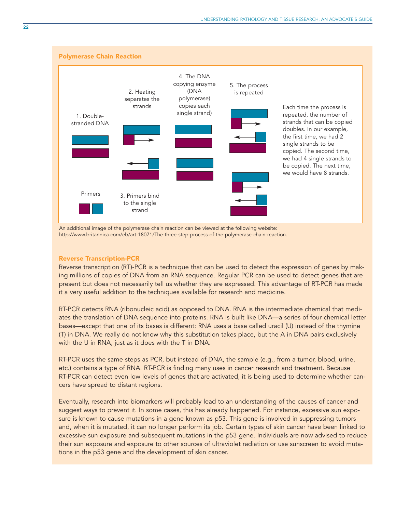

An additional image of the polymerase chain reaction can be viewed at the following website: http://www.britannica.com/eb/art-18071/The-three-step-process-of-the-polymerase-chain-reaction.

#### Reverse Transcription-PCR

Reverse transcription (RT)-PCR is a technique that can be used to detect the expression of genes by making millions of copies of DNA from an RNA sequence. Regular PCR can be used to detect genes that are present but does not necessarily tell us whether they are expressed. This advantage of RT-PCR has made it a very useful addition to the techniques available for research and medicine.

RT-PCR detects RNA (ribonucleic acid) as opposed to DNA. RNA is the intermediate chemical that mediates the translation of DNA sequence into proteins. RNA is built like DNA—a series of four chemical letter bases—except that one of its bases is different: RNA uses a base called uracil (U) instead of the thymine (T) in DNA. We really do not know why this substitution takes place, but the A in DNA pairs exclusively with the U in RNA, just as it does with the T in DNA.

RT-PCR uses the same steps as PCR, but instead of DNA, the sample (e.g., from a tumor, blood, urine, etc.) contains a type of RNA. RT-PCR is finding many uses in cancer research and treatment. Because RT-PCR can detect even low levels of genes that are activated, it is being used to determine whether cancers have spread to distant regions.

Eventually, research into biomarkers will probably lead to an understanding of the causes of cancer and suggest ways to prevent it. In some cases, this has already happened. For instance, excessive sun exposure is known to cause mutations in a gene known as p53. This gene is involved in suppressing tumors and, when it is mutated, it can no longer perform its job. Certain types of skin cancer have been linked to excessive sun exposure and subsequent mutations in the p53 gene. Individuals are now advised to reduce their sun exposure and exposure to other sources of ultraviolet radiation or use sunscreen to avoid mutations in the p53 gene and the development of skin cancer.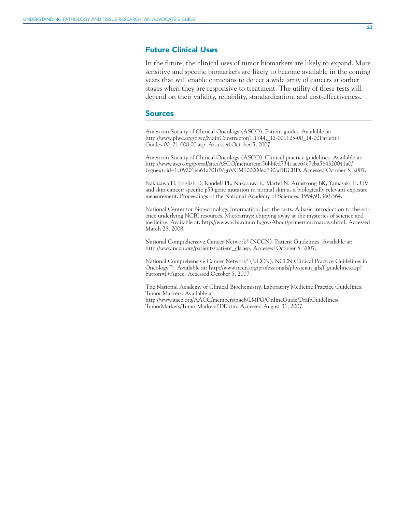### Future Clinical Uses

In the future, the clinical uses of tumor biomarkers are likely to expand. More sensitive and specific biomarkers are likely to become available in the coming years that will enable clinicians to detect a wide array of cancers at earlier stages when they are responsive to treatment. The utility of these tests will depend on their validity, reliability, standardization, and cost-effectiveness.

#### Sources

American Society of Clinical Oncology (ASCO). Patient guides. Available at: http://www.plwc.org/plwc/MainConstructor/1,1744,\_12-001125-00\_14-00Patient+ Guides-00\_21-008,00.asp. Accessed October 5, 2007.

American Society of Clinical Oncology (ASCO). Clinical practice guidelines. Available at: http://www.asco.org/portal/site/ASCO/menuitem.56bbfed7341ace64e7cba5b4320041a0/ ?vgnextoid=1c09201eb61a7010VgnVCM100000ed730ad1RCRD. Accessed October 5, 2007.

Nakazawa H, English D, Randell PL, Nakazawa K, Martel N, Armstrong BK, Yamasaki H. UV and skin cancer: specific p53 gene mutation in normal skin as a biologically relevant exposure measurement. Proceedings of the National Academy of Sciences. 1994;91:360-364.

National Center for Biotechnology Information. Just the facts: A basic introduction to the science underlying NCBI resources. Microarrays: chipping away at the mysteries of science and medicine. Available at: http://www.ncbi.nlm.nih.gov/About/primer/microarrays.html. Accessed March 28, 2008.

National Comprehensive Cancer Network® (NCCN). Patient Guidelines. Available at: http://www.nccn.org/patients/patient\_gls.asp. Accessed October 5, 2007.

National Comprehensive Cancer Network® (NCCN). NCCN Clinical Practice Guidelines in Oncology™. Available at: http://www.nccn.org/professionals/physician\_gls/f\_guidelines.asp? button=I+Agree. Accessed October 5, 2007.

The National Academy of Clinical Biochemistry. Laboratory Medicine Practice Guidelines. Tumor Markers. Available at: http://www.aacc.org/AACC/members/nacb/LMPG/OnlineGuide/DraftGuidelines/ TumorMarkers/TumorMarkersPDF.htm. Accessed August 31, 2007.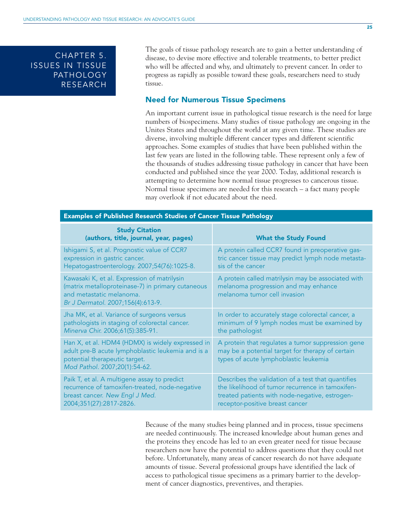## CHAPTER 5. ISSUES IN TISSUE PATHOLOGY RESEARCH

The goals of tissue pathology research are to gain a better understanding of disease, to devise more effective and tolerable treatments, to better predict who will be affected and why, and ultimately to prevent cancer. In order to progress as rapidly as possible toward these goals, researchers need to study tissue.

### Need for Numerous Tissue Specimens

An important current issue in pathological tissue research is the need for large numbers of biospecimens. Many studies of tissue pathology are ongoing in the Unites States and throughout the world at any given time. These studies are diverse, involving multiple different cancer types and different scientific approaches. Some examples of studies that have been published within the last few years are listed in the following table. These represent only a few of the thousands of studies addressing tissue pathology in cancer that have been conducted and published since the year 2000. Today, additional research is attempting to determine how normal tissue progresses to cancerous tissue. Normal tissue specimens are needed for this research – a fact many people may overlook if not educated about the need.

| <b>Study Citation</b><br>(authors, title, journal, year, pages)                                                                                                         | <b>What the Study Found</b>                                                                                                                                                                 |
|-------------------------------------------------------------------------------------------------------------------------------------------------------------------------|---------------------------------------------------------------------------------------------------------------------------------------------------------------------------------------------|
| Ishigami S, et al. Prognostic value of CCR7<br>expression in gastric cancer.<br>Hepatogastroenterology. 2007;54(76):1025-8.                                             | A protein called CCR7 found in preoperative gas-<br>tric cancer tissue may predict lymph node metasta-<br>sis of the cancer                                                                 |
| Kawasaki K, et al. Expression of matrilysin<br>(matrix metalloproteinase-7) in primary cutaneous<br>and metastatic melanoma.<br>Br J Dermatol. 2007;156(4):613-9.       | A protein called matrilysin may be associated with<br>melanoma progression and may enhance<br>melanoma tumor cell invasion                                                                  |
| Jha MK, et al. Variance of surgeons versus<br>pathologists in staging of colorectal cancer.<br>Minerva Chir. 2006;61(5):385-91.                                         | In order to accurately stage colorectal cancer, a<br>minimum of 9 lymph nodes must be examined by<br>the pathologist                                                                        |
| Han X, et al. HDM4 (HDMX) is widely expressed in<br>adult pre-B acute lymphoblastic leukemia and is a<br>potential therapeutic target.<br>Mod Pathol. 2007;20(1):54-62. | A protein that regulates a tumor suppression gene<br>may be a potential target for therapy of certain<br>types of acute lymphoblastic leukemia                                              |
| Paik T, et al. A multigene assay to predict<br>recurrence of tamoxifen-treated, node-negative<br>breast cancer. New Engl J Med.<br>2004;351(27):2817-2826.              | Describes the validation of a test that quantifies<br>the likelihood of tumor recurrence in tamoxifen-<br>treated patients with node-negative, estrogen-<br>receptor-positive breast cancer |

#### Examples of Published Research Studies of Cancer Tissue Pathology

Because of the many studies being planned and in process, tissue specimens are needed continuously. The increased knowledge about human genes and the proteins they encode has led to an even greater need for tissue because researchers now have the potential to address questions that they could not before. Unfortunately, many areas of cancer research do not have adequate amounts of tissue. Several professional groups have identified the lack of access to pathological tissue specimens as a primary barrier to the development of cancer diagnostics, preventives, and therapies.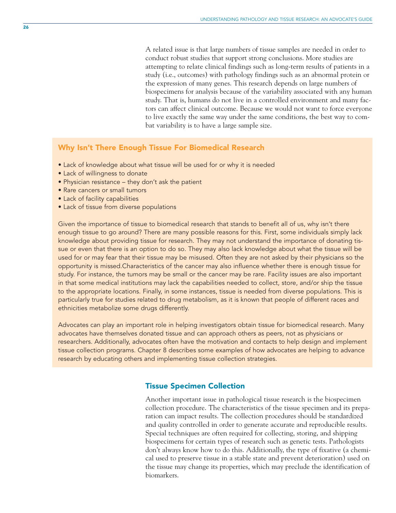A related issue is that large numbers of tissue samples are needed in order to conduct robust studies that support strong conclusions. More studies are attempting to relate clinical findings such as long-term results of patients in a study (i.e., outcomes) with pathology findings such as an abnormal protein or the expression of many genes. This research depends on large numbers of biospecimens for analysis because of the variability associated with any human study. That is, humans do not live in a controlled environment and many factors can affect clinical outcome. Because we would not want to force everyone to live exactly the same way under the same conditions, the best way to combat variability is to have a large sample size.

### Why Isn't There Enough Tissue For Biomedical Research

- Lack of knowledge about what tissue will be used for or why it is needed
- Lack of willingness to donate
- Physician resistance they don't ask the patient
- Rare cancers or small tumors
- Lack of facility capabilities
- Lack of tissue from diverse populations

Given the importance of tissue to biomedical research that stands to benefit all of us, why isn't there enough tissue to go around? There are many possible reasons for this. First, some individuals simply lack knowledge about providing tissue for research. They may not understand the importance of donating tissue or even that there is an option to do so. They may also lack knowledge about what the tissue will be used for or may fear that their tissue may be misused. Often they are not asked by their physicians so the opportunity is missed.Characteristics of the cancer may also influence whether there is enough tissue for study. For instance, the tumors may be small or the cancer may be rare. Facility issues are also important in that some medical institutions may lack the capabilities needed to collect, store, and/or ship the tissue to the appropriate locations. Finally, in some instances, tissue is needed from diverse populations. This is particularly true for studies related to drug metabolism, as it is known that people of different races and ethnicities metabolize some drugs differently.

Advocates can play an important role in helping investigators obtain tissue for biomedical research. Many advocates have themselves donated tissue and can approach others as peers, not as physicians or researchers. Additionally, advocates often have the motivation and contacts to help design and implement tissue collection programs. Chapter 8 describes some examples of how advocates are helping to advance research by educating others and implementing tissue collection strategies.

#### Tissue Specimen Collection

Another important issue in pathological tissue research is the biospecimen collection procedure. The characteristics of the tissue specimen and its preparation can impact results. The collection procedures should be standardized and quality controlled in order to generate accurate and reproducible results. Special techniques are often required for collecting, storing, and shipping biospecimens for certain types of research such as genetic tests. Pathologists don't always know how to do this. Additionally, the type of fixative (a chemical used to preserve tissue in a stable state and prevent deterioration) used on the tissue may change its properties, which may preclude the identification of biomarkers.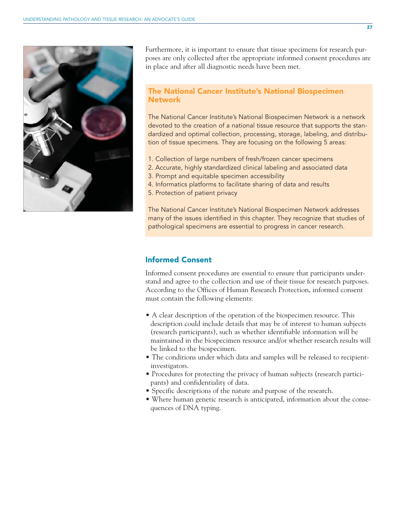

Furthermore, it is important to ensure that tissue specimens for research purposes are only collected after the appropriate informed consent procedures are in place and after all diagnostic needs have been met.

### The National Cancer Institute's National Biospecimen **Network**

The National Cancer Institute's National Biospecimen Network is a network devoted to the creation of a national tissue resource that supports the standardized and optimal collection, processing, storage, labeling, and distribution of tissue specimens. They are focusing on the following 5 areas:

- 1. Collection of large numbers of fresh/frozen cancer specimens
- 2. Accurate, highly standardized clinical labeling and associated data
- 3. Prompt and equitable specimen accessibility
- 4. Informatics platforms to facilitate sharing of data and results
- 5. Protection of patient privacy

The National Cancer Institute's National Biospecimen Network addresses many of the issues identified in this chapter. They recognize that studies of pathological specimens are essential to progress in cancer research.

### Informed Consent

Informed consent procedures are essential to ensure that participants understand and agree to the collection and use of their tissue for research purposes. According to the Offices of Human Research Protection, informed consent must contain the following elements:

- A clear description of the operation of the biospecimen resource. This description could include details that may be of interest to human subjects (research participants), such as whether identifiable information will be maintained in the biospecimen resource and/or whether research results will be linked to the biospecimen.
- The conditions under which data and samples will be released to recipientinvestigators.
- Procedures for protecting the privacy of human subjects (research participants) and confidentiality of data.
- Specific descriptions of the nature and purpose of the research.
- Where human genetic research is anticipated, information about the consequences of DNA typing.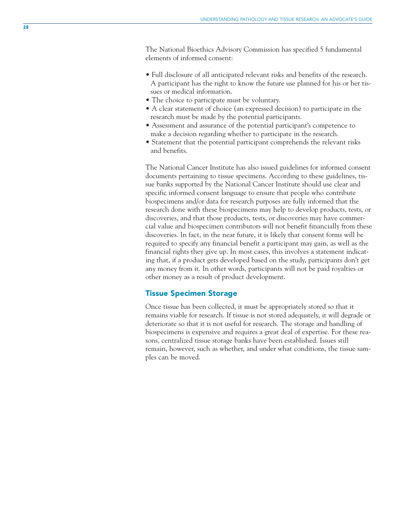The National Bioethics Advisory Commission has specified 5 fundamental elements of informed consent:

- Full disclosure of all anticipated relevant risks and benefits of the research. A participant has the right to know the future use planned for his or her tissues or medical information.
- The choice to participate must be voluntary.
- A clear statement of choice (an expressed decision) to participate in the research must be made by the potential participants.
- Assessment and assurance of the potential participant's competence to make a decision regarding whether to participate in the research.
- Statement that the potential participant comprehends the relevant risks and benefits.

The National Cancer Institute has also issued guidelines for informed consent documents pertaining to tissue specimens. According to these guidelines, tissue banks supported by the National Cancer Institute should use clear and specific informed consent language to ensure that people who contribute biospecimens and/or data for research purposes are fully informed that the research done with these biospecimens may help to develop products, tests, or discoveries, and that those products, tests, or discoveries may have commercial value and biospecimen contributors will not benefit financially from these discoveries. In fact, in the near future, it is likely that consent forms will be required to specify any financial benefit a participant may gain, as well as the financial rights they give up. In most cases, this involves a statement indicating that, if a product gets developed based on the study, participants don't get any money from it. In other words, participants will not be paid royalties or other money as a result of product development.

#### Tissue Specimen Storage

Once tissue has been collected, it must be appropriately stored so that it remains viable for research. If tissue is not stored adequately, it will degrade or deteriorate so that it is not useful for research. The storage and handling of biospecimens is expensive and requires a great deal of expertise. For these reasons, centralized tissue storage banks have been established. Issues still remain, however, such as whether, and under what conditions, the tissue samples can be moved.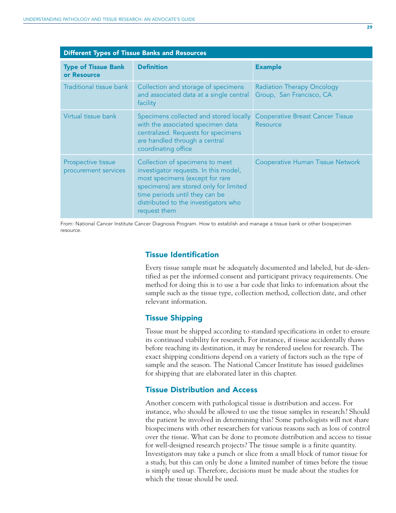| <b>Different Types of Tissue Banks and Resources</b> |                                                                                                                                                                                                                                                 |                                                               |
|------------------------------------------------------|-------------------------------------------------------------------------------------------------------------------------------------------------------------------------------------------------------------------------------------------------|---------------------------------------------------------------|
| <b>Type of Tissue Bank</b><br>or Resource            | <b>Definition</b>                                                                                                                                                                                                                               | <b>Example</b>                                                |
| Traditional tissue bank                              | Collection and storage of specimens<br>and associated data at a single central<br>facility                                                                                                                                                      | <b>Radiation Therapy Oncology</b><br>Group, San Francisco, CA |
| Virtual tissue bank                                  | Specimens collected and stored locally<br>with the associated specimen data<br>centralized. Requests for specimens<br>are handled through a central<br>coordinating office                                                                      | <b>Cooperative Breast Cancer Tissue</b><br>Resource           |
| Prospective tissue<br>procurement services           | Collection of specimens to meet<br>investigator requests. In this model,<br>most specimens (except for rare<br>specimens) are stored only for limited<br>time periods until they can be<br>distributed to the investigators who<br>request them | <b>Cooperative Human Tissue Network</b>                       |

From: National Cancer Institute Cancer Diagnosis Program. How to establish and manage a tissue bank or other biospecimen resource.

### Tissue Identification

Every tissue sample must be adequately documented and labeled, but de-identified as per the informed consent and participant privacy requirements. One method for doing this is to use a bar code that links to information about the sample such as the tissue type, collection method, collection date, and other relevant information.

### Tissue Shipping

Tissue must be shipped according to standard specifications in order to ensure its continued viability for research. For instance, if tissue accidentally thaws before reaching its destination, it may be rendered useless for research. The exact shipping conditions depend on a variety of factors such as the type of sample and the season. The National Cancer Institute has issued guidelines for shipping that are elaborated later in this chapter.

### Tissue Distribution and Access

Another concern with pathological tissue is distribution and access. For instance, who should be allowed to use the tissue samples in research? Should the patient be involved in determining this? Some pathologists will not share biospecimens with other researchers for various reasons such as loss of control over the tissue. What can be done to promote distribution and access to tissue for well-designed research projects? The tissue sample is a finite quantity. Investigators may take a punch or slice from a small block of tumor tissue for a study, but this can only be done a limited number of times before the tissue is simply used up. Therefore, decisions must be made about the studies for which the tissue should be used.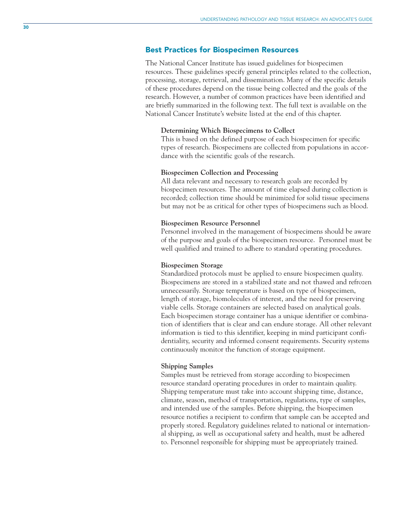### Best Practices for Biospecimen Resources

The National Cancer Institute has issued guidelines for biospecimen resources. These guidelines specify general principles related to the collection, processing, storage, retrieval, and dissemination. Many of the specific details of these procedures depend on the tissue being collected and the goals of the research. However, a number of common practices have been identified and are briefly summarized in the following text. The full text is available on the National Cancer Institute's website listed at the end of this chapter.

#### **Determining Which Biospecimens to Collect**

This is based on the defined purpose of each biospecimen for specific types of research. Biospecimens are collected from populations in accordance with the scientific goals of the research.

#### **Biospecimen Collection and Processing**

All data relevant and necessary to research goals are recorded by biospecimen resources. The amount of time elapsed during collection is recorded; collection time should be minimized for solid tissue specimens but may not be as critical for other types of biospecimens such as blood.

#### **Biospecimen Resource Personnel**

Personnel involved in the management of biospecimens should be aware of the purpose and goals of the biospecimen resource. Personnel must be well qualified and trained to adhere to standard operating procedures.

#### **Biospecimen Storage**

Standardized protocols must be applied to ensure biospecimen quality. Biospecimens are stored in a stabilized state and not thawed and refrozen unnecessarily. Storage temperature is based on type of biospecimen, length of storage, biomolecules of interest, and the need for preserving viable cells. Storage containers are selected based on analytical goals. Each biospecimen storage container has a unique identifier or combination of identifiers that is clear and can endure storage. All other relevant information is tied to this identifier, keeping in mind participant confidentiality, security and informed consent requirements. Security systems continuously monitor the function of storage equipment.

#### **Shipping Samples**

Samples must be retrieved from storage according to biospecimen resource standard operating procedures in order to maintain quality. Shipping temperature must take into account shipping time, distance, climate, season, method of transportation, regulations, type of samples, and intended use of the samples. Before shipping, the biospecimen resource notifies a recipient to confirm that sample can be accepted and properly stored. Regulatory guidelines related to national or international shipping, as well as occupational safety and health, must be adhered to. Personnel responsible for shipping must be appropriately trained.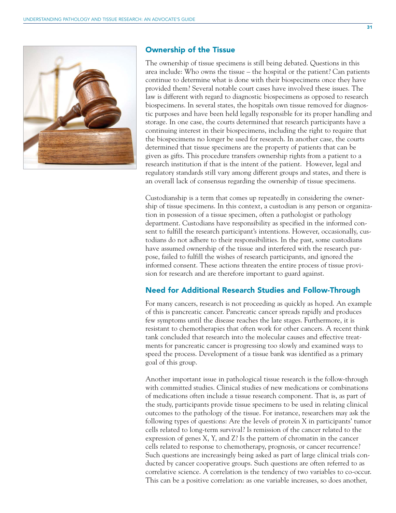

#### Ownership of the Tissue

The ownership of tissue specimens is still being debated. Questions in this area include: Who owns the tissue – the hospital or the patient? Can patients continue to determine what is done with their biospecimens once they have provided them? Several notable court cases have involved these issues. The law is different with regard to diagnostic biospecimens as opposed to research biospecimens. In several states, the hospitals own tissue removed for diagnostic purposes and have been held legally responsible for its proper handling and storage. In one case, the courts determined that research participants have a continuing interest in their biospecimens, including the right to require that the biospecimens no longer be used for research. In another case, the courts determined that tissue specimens are the property of patients that can be given as gifts. This procedure transfers ownership rights from a patient to a research institution if that is the intent of the patient. However, legal and regulatory standards still vary among different groups and states, and there is an overall lack of consensus regarding the ownership of tissue specimens.

Custodianship is a term that comes up repeatedly in considering the ownership of tissue specimens. In this context, a custodian is any person or organization in possession of a tissue specimen, often a pathologist or pathology department. Custodians have responsibility as specified in the informed consent to fulfill the research participant's intentions. However, occasionally, custodians do not adhere to their responsibilities. In the past, some custodians have assumed ownership of the tissue and interfered with the research purpose, failed to fulfill the wishes of research participants, and ignored the informed consent. These actions threaten the entire process of tissue provision for research and are therefore important to guard against.

### Need for Additional Research Studies and Follow-Through

For many cancers, research is not proceeding as quickly as hoped. An example of this is pancreatic cancer. Pancreatic cancer spreads rapidly and produces few symptoms until the disease reaches the late stages. Furthermore, it is resistant to chemotherapies that often work for other cancers. A recent think tank concluded that research into the molecular causes and effective treatments for pancreatic cancer is progressing too slowly and examined ways to speed the process. Development of a tissue bank was identified as a primary goal of this group.

Another important issue in pathological tissue research is the follow-through with committed studies. Clinical studies of new medications or combinations of medications often include a tissue research component. That is, as part of the study, participants provide tissue specimens to be used in relating clinical outcomes to the pathology of the tissue. For instance, researchers may ask the following types of questions: Are the levels of protein X in participants' tumor cells related to long-term survival? Is remission of the cancer related to the expression of genes X, Y, and Z? Is the pattern of chromatin in the cancer cells related to response to chemotherapy, prognosis, or cancer recurrence? Such questions are increasingly being asked as part of large clinical trials conducted by cancer cooperative groups. Such questions are often referred to as correlative science. A correlation is the tendency of two variables to co-occur. This can be a positive correlation: as one variable increases, so does another,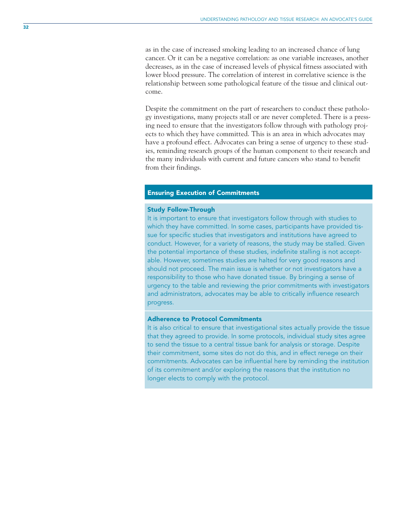as in the case of increased smoking leading to an increased chance of lung cancer. Or it can be a negative correlation: as one variable increases, another decreases, as in the case of increased levels of physical fitness associated with lower blood pressure. The correlation of interest in correlative science is the relationship between some pathological feature of the tissue and clinical outcome.

Despite the commitment on the part of researchers to conduct these pathology investigations, many projects stall or are never completed. There is a pressing need to ensure that the investigators follow through with pathology projects to which they have committed. This is an area in which advocates may have a profound effect. Advocates can bring a sense of urgency to these studies, reminding research groups of the human component to their research and the many individuals with current and future cancers who stand to benefit from their findings.

#### Ensuring Execution of Commitments

#### Study Follow-Through

It is important to ensure that investigators follow through with studies to which they have committed. In some cases, participants have provided tissue for specific studies that investigators and institutions have agreed to conduct. However, for a variety of reasons, the study may be stalled. Given the potential importance of these studies, indefinite stalling is not acceptable. However, sometimes studies are halted for very good reasons and should not proceed. The main issue is whether or not investigators have a responsibility to those who have donated tissue. By bringing a sense of urgency to the table and reviewing the prior commitments with investigators and administrators, advocates may be able to critically influence research progress.

#### Adherence to Protocol Commitments

It is also critical to ensure that investigational sites actually provide the tissue that they agreed to provide. In some protocols, individual study sites agree to send the tissue to a central tissue bank for analysis or storage. Despite their commitment, some sites do not do this, and in effect renege on their commitments. Advocates can be influential here by reminding the institution of its commitment and/or exploring the reasons that the institution no longer elects to comply with the protocol.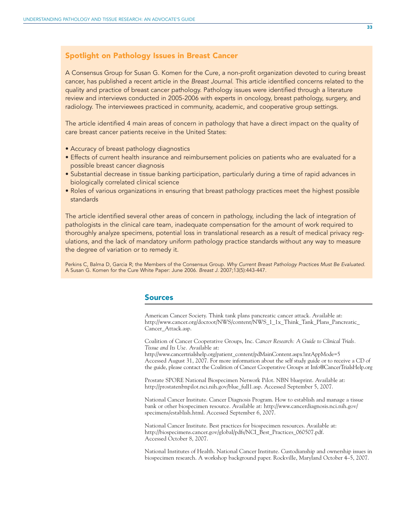### Spotlight on Pathology Issues in Breast Cancer

A Consensus Group for Susan G. Komen for the Cure, a non-profit organization devoted to curing breast cancer, has published a recent article in the Breast Journal. This article identified concerns related to the quality and practice of breast cancer pathology. Pathology issues were identified through a literature review and interviews conducted in 2005-2006 with experts in oncology, breast pathology, surgery, and radiology. The interviewees practiced in community, academic, and cooperative group settings.

The article identified 4 main areas of concern in pathology that have a direct impact on the quality of care breast cancer patients receive in the United States:

- Accuracy of breast pathology diagnostics
- Effects of current health insurance and reimbursement policies on patients who are evaluated for a possible breast cancer diagnosis
- Substantial decrease in tissue banking participation, particularly during a time of rapid advances in biologically correlated clinical science
- Roles of various organizations in ensuring that breast pathology practices meet the highest possible standards

The article identified several other areas of concern in pathology, including the lack of integration of pathologists in the clinical care team, inadequate compensation for the amount of work required to thoroughly analyze specimens, potential loss in translational research as a result of medical privacy regulations, and the lack of mandatory uniform pathology practice standards without any way to measure the degree of variation or to remedy it.

Perkins C, Balma D, Garcia R; the Members of the Consensus Group. Why Current Breast Pathology Practices Must Be Evaluated. A Susan G. Komen for the Cure White Paper: June 2006. Breast J. 2007;13(5):443-447.

#### Sources

American Cancer Society. Think tank plans pancreatic cancer attack. Available at: http://www.cancer.org/docroot/NWS/content/NWS\_1\_1x\_Think\_Tank\_Plans\_Pancreatic\_ Cancer\_Attack.asp.

Coalition of Cancer Cooperative Groups, Inc. *Cancer Research: A Guide to Clinical Trials. Tissue and Its Use.* Available at: http://www.cancertrialshelp.org/patient\_content/pdMainContent.aspx?intAppMode=5 Accessed August 31, 2007. For more information about the self study guide or to receive a CD of the guide, please contact the Coalition of Cancer Cooperative Groups at Info@CancerTrialsHelp.org

Prostate SPORE National Biospecimen Network Pilot. NBN blueprint. Available at: http://prostatenbnpilot.nci.nih.gov/blue\_full1.asp. Accessed September 5, 2007.

National Cancer Institute. Cancer Diagnosis Program. How to establish and manage a tissue bank or other biospecimen resource. Available at: http://www.cancerdiagnosis.nci.nih.gov/ specimens/establish.html. Accessed September 6, 2007.

National Cancer Institute. Best practices for biospecimen resources. Available at: http://biospecimens.cancer.gov/global/pdfs/NCI\_Best\_Practices\_060507.pdf. Accessed October 8, 2007.

National Institutes of Health. National Cancer Institute. Custodianship and ownership issues in biospecimen research. A workshop background paper. Rockville, Maryland October 4–5, 2007.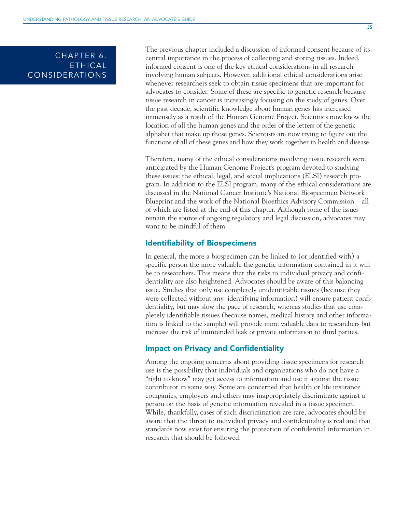### CHAPTER 6. ETHICAL CONSIDERATIONS

The previous chapter included a discussion of informed consent because of its central importance in the process of collecting and storing tissues. Indeed, informed consent is one of the key ethical considerations in all research involving human subjects. However, additional ethical considerations arise whenever researchers seek to obtain tissue specimens that are important for advocates to consider. Some of these are specific to genetic research because tissue research in cancer is increasingly focusing on the study of genes. Over the past decade, scientific knowledge about human genes has increased immensely as a result of the Human Genome Project. Scientists now know the location of all the human genes and the order of the letters of the genetic alphabet that make up those genes. Scientists are now trying to figure out the functions of all of these genes and how they work together in health and disease.

Therefore, many of the ethical considerations involving tissue research were anticipated by the Human Genome Project's program devoted to studying these issues: the ethical, legal, and social implications (ELSI) research program. In addition to the ELSI program, many of the ethical considerations are discussed in the National Cancer Institute's National Biospecimen Network Blueprint and the work of the National Bioethics Advisory Commission – all of which are listed at the end of this chapter. Although some of the issues remain the source of ongoing regulatory and legal discussion, advocates may want to be mindful of them.

### Identifiability of Biospecimens

In general, the more a biospecimen can be linked to (or identified with) a specific person the more valuable the genetic information contained in it will be to researchers. This means that the risks to individual privacy and confidentiality are also heightened. Advocates should be aware of this balancing issue. Studies that only use completely unidentifiable tissues (because they were collected without any identifying information) will ensure patient confidentiality, but may slow the pace of research, whereas studies that use completely identifiable tissues (because names, medical history and other information is linked to the sample) will provide more valuable data to researchers but increase the risk of unintended leak of private information to third parties.

### Impact on Privacy and Confidentiality

Among the ongoing concerns about providing tissue specimens for research use is the possibility that individuals and organizations who do not have a "right to know" may get access to information and use it against the tissue contributor in some way. Some are concerned that health or life insurance companies, employers and others may inappropriately discriminate against a person on the basis of genetic information revealed in a tissue specimen. While, thankfully, cases of such discrimination are rare, advocates should be aware that the threat to individual privacy and confidentiality is real and that standards now exist for ensuring the protection of confidential information in research that should be followed.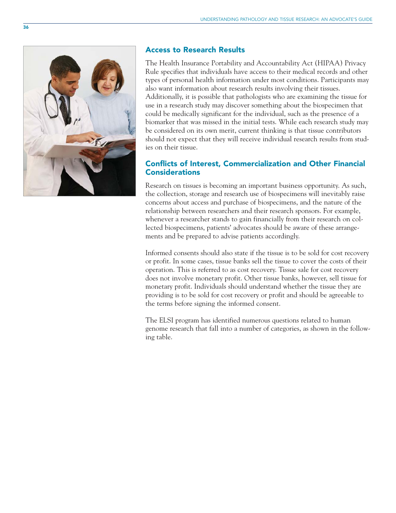

### Access to Research Results

The Health Insurance Portability and Accountability Act (HIPAA) Privacy Rule specifies that individuals have access to their medical records and other types of personal health information under most conditions. Participants may also want information about research results involving their tissues. Additionally, it is possible that pathologists who are examining the tissue for use in a research study may discover something about the biospecimen that could be medically significant for the individual, such as the presence of a biomarker that was missed in the initial tests. While each research study may be considered on its own merit, current thinking is that tissue contributors should not expect that they will receive individual research results from studies on their tissue.

### Conflicts of Interest, Commercialization and Other Financial Considerations

Research on tissues is becoming an important business opportunity. As such, the collection, storage and research use of biospecimens will inevitably raise concerns about access and purchase of biospecimens, and the nature of the relationship between researchers and their research sponsors. For example, whenever a researcher stands to gain financially from their research on collected biospecimens, patients' advocates should be aware of these arrangements and be prepared to advise patients accordingly.

Informed consents should also state if the tissue is to be sold for cost recovery or profit. In some cases, tissue banks sell the tissue to cover the costs of their operation. This is referred to as cost recovery. Tissue sale for cost recovery does not involve monetary profit. Other tissue banks, however, sell tissue for monetary profit. Individuals should understand whether the tissue they are providing is to be sold for cost recovery or profit and should be agreeable to the terms before signing the informed consent.

The ELSI program has identified numerous questions related to human genome research that fall into a number of categories, as shown in the following table.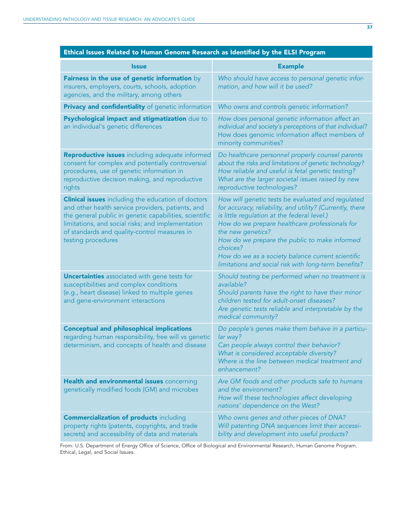| Ethical Issues Related to Human Genome Research as Identified by the ELSI Program                                                                                                                                                                                                                   |                                                                                                                                                                                                                                                                                                                                                                                                                |  |  |
|-----------------------------------------------------------------------------------------------------------------------------------------------------------------------------------------------------------------------------------------------------------------------------------------------------|----------------------------------------------------------------------------------------------------------------------------------------------------------------------------------------------------------------------------------------------------------------------------------------------------------------------------------------------------------------------------------------------------------------|--|--|
| <b>Issue</b>                                                                                                                                                                                                                                                                                        | <b>Example</b>                                                                                                                                                                                                                                                                                                                                                                                                 |  |  |
| Fairness in the use of genetic information by<br>insurers, employers, courts, schools, adoption<br>agencies, and the military, among others                                                                                                                                                         | Who should have access to personal genetic infor-<br>mation, and how will it be used?                                                                                                                                                                                                                                                                                                                          |  |  |
| Privacy and confidentiality of genetic information                                                                                                                                                                                                                                                  | Who owns and controls genetic information?                                                                                                                                                                                                                                                                                                                                                                     |  |  |
| Psychological impact and stigmatization due to<br>an individual's genetic differences                                                                                                                                                                                                               | How does personal genetic information affect an<br>individual and society's perceptions of that individual?<br>How does genomic information affect members of<br>minority communities?                                                                                                                                                                                                                         |  |  |
| <b>Reproductive issues</b> including adequate informed<br>consent for complex and potentially controversial<br>procedures, use of genetic information in<br>reproductive decision making, and reproductive<br>rights                                                                                | Do healthcare personnel properly counsel parents<br>about the risks and limitations of genetic technology?<br>How reliable and useful is fetal genetic testing?<br>What are the larger societal issues raised by new<br>reproductive technologies?                                                                                                                                                             |  |  |
| <b>Clinical issues</b> including the education of doctors<br>and other health service providers, patients, and<br>the general public in genetic capabilities, scientific<br>limitations, and social risks; and implementation<br>of standards and quality-control measures in<br>testing procedures | How will genetic tests be evaluated and regulated<br>for accuracy, reliability, and utility? (Currently, there<br>is little regulation at the federal level.)<br>How do we prepare healthcare professionals for<br>the new genetics?<br>How do we prepare the public to make informed<br>choices?<br>How do we as a society balance current scientific<br>limitations and social risk with long-term benefits? |  |  |
| <b>Uncertainties</b> associated with gene tests for<br>susceptibilities and complex conditions<br>(e.g., heart disease) linked to multiple genes<br>and gene-environment interactions                                                                                                               | Should testing be performed when no treatment is<br>available?<br>Should parents have the right to have their minor<br>children tested for adult-onset diseases?<br>Are genetic tests reliable and interpretable by the<br>medical community?                                                                                                                                                                  |  |  |
| <b>Conceptual and philosophical implications</b><br>regarding human responsibility, free will vs genetic<br>determinism, and concepts of health and disease                                                                                                                                         | Do people's genes make them behave in a particu-<br>lar way?<br>Can people always control their behavior?<br>What is considered acceptable diversity?<br>Where is the line between medical treatment and<br>enhancement?                                                                                                                                                                                       |  |  |
| Health and environmental issues concerning<br>genetically modified foods (GM) and microbes                                                                                                                                                                                                          | Are GM foods and other products safe to humans<br>and the environment?<br>How will these technologies affect developing<br>nations' dependence on the West?                                                                                                                                                                                                                                                    |  |  |
| <b>Commercialization of products including</b><br>property rights (patents, copyrights, and trade<br>secrets) and accessibility of data and materials                                                                                                                                               | Who owns genes and other pieces of DNA?<br>Will patenting DNA sequences limit their accessi-<br>bility and development into useful products?                                                                                                                                                                                                                                                                   |  |  |

#### Ethical Issues Related to Human Genome Research as Identified by the ELSI Program

From: U.S. Department of Energy Office of Science, Office of Biological and Environmental Research, Human Genome Program. Ethical, Legal, and Social Issues.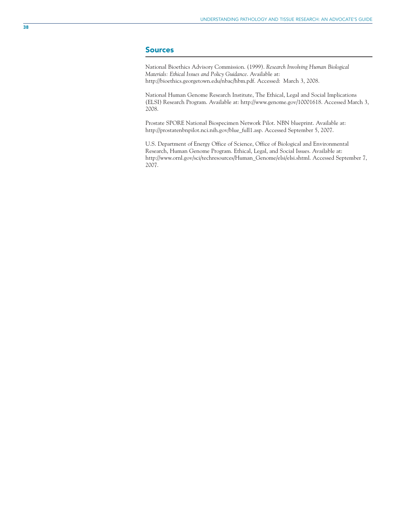#### Sources

National Bioethics Advisory Commission. (1999). *Research Involving Human Biological Materials: Ethical Issues and Policy Guidance*. Available at: http://bioethics.georgetown.edu/nbac/hbm.pdf. Accessed: March 3, 2008.

National Human Genome Research Institute, The Ethical, Legal and Social Implications (ELSI) Research Program. Available at: http://www.genome.gov/10001618. Accessed March 3, 2008.

Prostate SPORE National Biospecimen Network Pilot. NBN blueprint. Available at: http://prostatenbnpilot.nci.nih.gov/blue\_full1.asp. Accessed September 5, 2007.

U.S. Department of Energy Office of Science, Office of Biological and Environmental Research, Human Genome Program. Ethical, Legal, and Social Issues. Available at: http://www.ornl.gov/sci/techresources/Human\_Genome/elsi/elsi.shtml. Accessed September 7, 2007.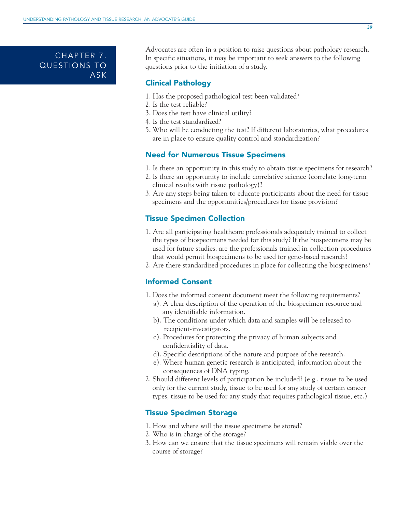### CHAPTER 7. QUESTIONS TO ASK

Advocates are often in a position to raise questions about pathology research. In specific situations, it may be important to seek answers to the following questions prior to the initiation of a study.

### Clinical Pathology

- 1. Has the proposed pathological test been validated?
- 2. Is the test reliable?
- 3. Does the test have clinical utility?
- 4. Is the test standardized?
- 5. Who will be conducting the test? If different laboratories, what procedures are in place to ensure quality control and standardization?

### Need for Numerous Tissue Specimens

- 1. Is there an opportunity in this study to obtain tissue specimens for research?
- 2. Is there an opportunity to include correlative science (correlate long-term clinical results with tissue pathology)?
- 3. Are any steps being taken to educate participants about the need for tissue specimens and the opportunities/procedures for tissue provision?

### Tissue Specimen Collection

- 1. Are all participating healthcare professionals adequately trained to collect the types of biospecimens needed for this study? If the biospecimens may be used for future studies, are the professionals trained in collection procedures that would permit biospecimens to be used for gene-based research?
- 2. Are there standardized procedures in place for collecting the biospecimens?

### Informed Consent

- 1. Does the informed consent document meet the following requirements?
	- a). A clear description of the operation of the biospecimen resource and any identifiable information.
	- b). The conditions under which data and samples will be released to recipient-investigators.
	- c). Procedures for protecting the privacy of human subjects and confidentiality of data.
	- d). Specific descriptions of the nature and purpose of the research.
	- e). Where human genetic research is anticipated, information about the consequences of DNA typing.
- 2. Should different levels of participation be included? (e.g., tissue to be used only for the current study, tissue to be used for any study of certain cancer types, tissue to be used for any study that requires pathological tissue, etc.)

### Tissue Specimen Storage

- 1. How and where will the tissue specimens be stored?
- 2. Who is in charge of the storage?
- 3. How can we ensure that the tissue specimens will remain viable over the course of storage?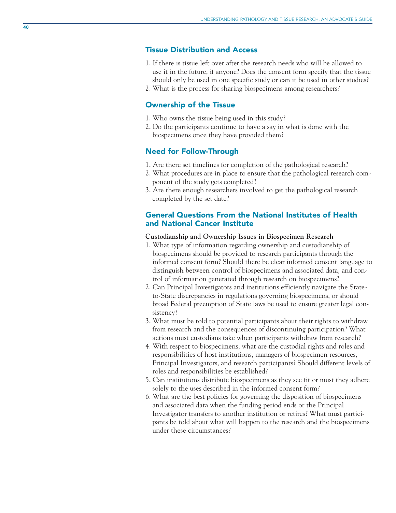### Tissue Distribution and Access

- 1. If there is tissue left over after the research needs who will be allowed to use it in the future, if anyone? Does the consent form specify that the tissue should only be used in one specific study or can it be used in other studies?
- 2. What is the process for sharing biospecimens among researchers?

### Ownership of the Tissue

- 1. Who owns the tissue being used in this study?
- 2. Do the participants continue to have a say in what is done with the biospecimens once they have provided them?

### Need for Follow-Through

- 1. Are there set timelines for completion of the pathological research?
- 2. What procedures are in place to ensure that the pathological research component of the study gets completed?
- 3. Are there enough researchers involved to get the pathological research completed by the set date?

### General Questions From the National Institutes of Health and National Cancer Institute

#### **Custodianship and Ownership Issues in Biospecimen Research**

- 1. What type of information regarding ownership and custodianship of biospecimens should be provided to research participants through the informed consent form? Should there be clear informed consent language to distinguish between control of biospecimens and associated data, and control of information generated through research on biospecimens?
- 2. Can Principal Investigators and institutions efficiently navigate the Stateto-State discrepancies in regulations governing biospecimens, or should broad Federal preemption of State laws be used to ensure greater legal consistency?
- 3. What must be told to potential participants about their rights to withdraw from research and the consequences of discontinuing participation? What actions must custodians take when participants withdraw from research?
- 4. With respect to biospecimens, what are the custodial rights and roles and responsibilities of host institutions, managers of biospecimen resources, Principal Investigators, and research participants? Should different levels of roles and responsibilities be established?
- 5. Can institutions distribute biospecimens as they see fit or must they adhere solely to the uses described in the informed consent form?
- 6. What are the best policies for governing the disposition of biospecimens and associated data when the funding period ends or the Principal Investigator transfers to another institution or retires? What must participants be told about what will happen to the research and the biospecimens under these circumstances?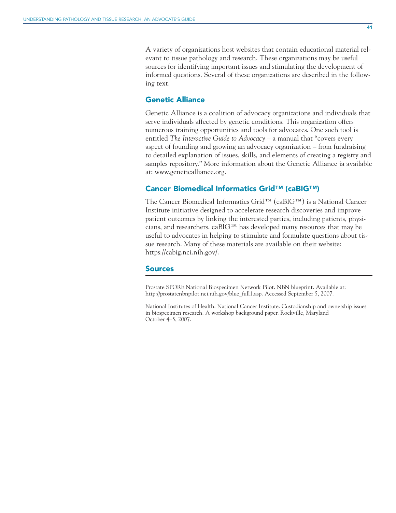A variety of organizations host websites that contain educational material relevant to tissue pathology and research. These organizations may be useful sources for identifying important issues and stimulating the development of informed questions. Several of these organizations are described in the following text.

### Genetic Alliance

Genetic Alliance is a coalition of advocacy organizations and individuals that serve individuals affected by genetic conditions. This organization offers numerous training opportunities and tools for advocates. One such tool is entitled *The Interactive Guide to Advocacy* – a manual that "covers every aspect of founding and growing an advocacy organization – from fundraising to detailed explanation of issues, skills, and elements of creating a registry and samples repository." More information about the Genetic Alliance ia available at: www.geneticalliance.org.

### Cancer Biomedical Informatics Grid™ (caBIG™)

The Cancer Biomedical Informatics Grid™ (caBIG™) is a National Cancer Institute initiative designed to accelerate research discoveries and improve patient outcomes by linking the interested parties, including patients, physicians, and researchers. caBIG™ has developed many resources that may be useful to advocates in helping to stimulate and formulate questions about tissue research. Many of these materials are available on their website: https://cabig.nci.nih.gov/.

#### Sources

Prostate SPORE National Biospecimen Network Pilot. NBN blueprint. Available at: http://prostatenbnpilot.nci.nih.gov/blue\_full1.asp. Accessed September 5, 2007.

National Institutes of Health. National Cancer Institute. Custodianship and ownership issues in biospecimen research. A workshop background paper. Rockville, Maryland October 4–5, 2007.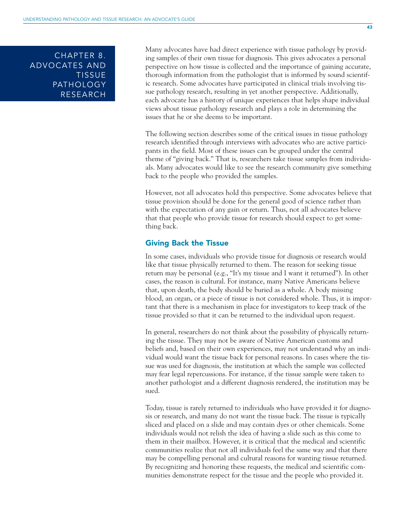### CHAPTER 8. ADVOCATES AND **TISSUE** PATHOLOGY **RESEARCH**

Many advocates have had direct experience with tissue pathology by providing samples of their own tissue for diagnosis. This gives advocates a personal perspective on how tissue is collected and the importance of gaining accurate, thorough information from the pathologist that is informed by sound scientific research. Some advocates have participated in clinical trials involving tissue pathology research, resulting in yet another perspective. Additionally, each advocate has a history of unique experiences that helps shape individual views about tissue pathology research and plays a role in determining the issues that he or she deems to be important.

The following section describes some of the critical issues in tissue pathology research identified through interviews with advocates who are active participants in the field. Most of these issues can be grouped under the central theme of "giving back." That is, researchers take tissue samples from individuals. Many advocates would like to see the research community give something back to the people who provided the samples.

However, not all advocates hold this perspective. Some advocates believe that tissue provision should be done for the general good of science rather than with the expectation of any gain or return. Thus, not all advocates believe that that people who provide tissue for research should expect to get something back.

### Giving Back the Tissue

In some cases, individuals who provide tissue for diagnosis or research would like that tissue physically returned to them. The reason for seeking tissue return may be personal (e.g., "It's my tissue and I want it returned"). In other cases, the reason is cultural. For instance, many Native Americans believe that, upon death, the body should be buried as a whole. A body missing blood, an organ, or a piece of tissue is not considered whole. Thus, it is important that there is a mechanism in place for investigators to keep track of the tissue provided so that it can be returned to the individual upon request.

In general, researchers do not think about the possibility of physically returning the tissue. They may not be aware of Native American customs and beliefs and, based on their own experiences, may not understand why an individual would want the tissue back for personal reasons. In cases where the tissue was used for diagnosis, the institution at which the sample was collected may fear legal repercussions. For instance, if the tissue sample were taken to another pathologist and a different diagnosis rendered, the institution may be sued.

Today, tissue is rarely returned to individuals who have provided it for diagnosis or research, and many do not want the tissue back. The tissue is typically sliced and placed on a slide and may contain dyes or other chemicals. Some individuals would not relish the idea of having a slide such as this come to them in their mailbox. However, it is critical that the medical and scientific communities realize that not all individuals feel the same way and that there may be compelling personal and cultural reasons for wanting tissue returned. By recognizing and honoring these requests, the medical and scientific communities demonstrate respect for the tissue and the people who provided it.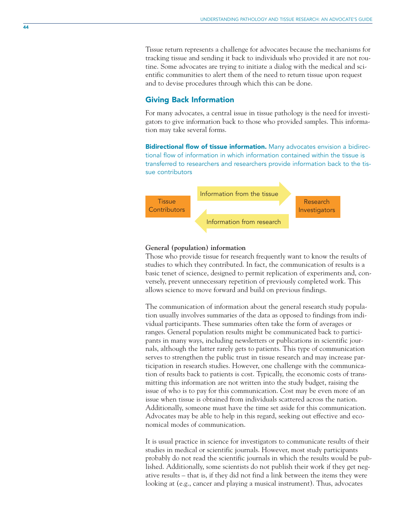Tissue return represents a challenge for advocates because the mechanisms for tracking tissue and sending it back to individuals who provided it are not routine. Some advocates are trying to initiate a dialog with the medical and scientific communities to alert them of the need to return tissue upon request and to devise procedures through which this can be done.

### Giving Back Information

For many advocates, a central issue in tissue pathology is the need for investigators to give information back to those who provided samples. This information may take several forms.

Bidirectional flow of tissue information. Many advocates envision a bidirectional flow of information in which information contained within the tissue is transferred to researchers and researchers provide information back to the tissue contributors



#### **General (population) information**

Those who provide tissue for research frequently want to know the results of studies to which they contributed. In fact, the communication of results is a basic tenet of science, designed to permit replication of experiments and, conversely, prevent unnecessary repetition of previously completed work. This allows science to move forward and build on previous findings.

The communication of information about the general research study population usually involves summaries of the data as opposed to findings from individual participants. These summaries often take the form of averages or ranges. General population results might be communicated back to participants in many ways, including newsletters or publications in scientific journals, although the latter rarely gets to patients. This type of communication serves to strengthen the public trust in tissue research and may increase participation in research studies. However, one challenge with the communication of results back to patients is cost. Typically, the economic costs of transmitting this information are not written into the study budget, raising the issue of who is to pay for this communication. Cost may be even more of an issue when tissue is obtained from individuals scattered across the nation. Additionally, someone must have the time set aside for this communication. Advocates may be able to help in this regard, seeking out effective and economical modes of communication.

It is usual practice in science for investigators to communicate results of their studies in medical or scientific journals. However, most study participants probably do not read the scientific journals in which the results would be published. Additionally, some scientists do not publish their work if they get negative results – that is, if they did not find a link between the items they were looking at (e.g., cancer and playing a musical instrument). Thus, advocates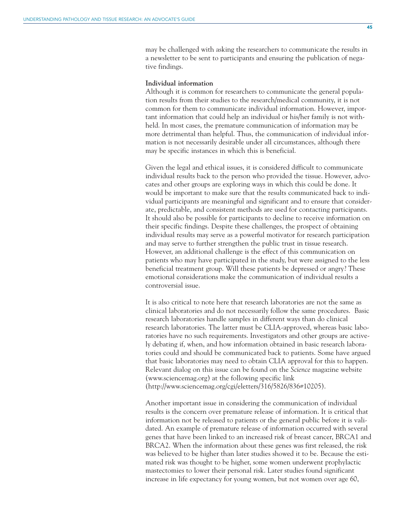may be challenged with asking the researchers to communicate the results in a newsletter to be sent to participants and ensuring the publication of negative findings.

#### **Individual information**

Although it is common for researchers to communicate the general population results from their studies to the research/medical community, it is not common for them to communicate individual information. However, important information that could help an individual or his/her family is not withheld. In most cases, the premature communication of information may be more detrimental than helpful. Thus, the communication of individual information is not necessarily desirable under all circumstances, although there may be specific instances in which this is beneficial.

Given the legal and ethical issues, it is considered difficult to communicate individual results back to the person who provided the tissue. However, advocates and other groups are exploring ways in which this could be done. It would be important to make sure that the results communicated back to individual participants are meaningful and significant and to ensure that considerate, predictable, and consistent methods are used for contacting participants. It should also be possible for participants to decline to receive information on their specific findings. Despite these challenges, the prospect of obtaining individual results may serve as a powerful motivator for research participation and may serve to further strengthen the public trust in tissue research. However, an additional challenge is the effect of this communication on patients who may have participated in the study, but were assigned to the less beneficial treatment group. Will these patients be depressed or angry? These emotional considerations make the communication of individual results a controversial issue.

It is also critical to note here that research laboratories are not the same as clinical laboratories and do not necessarily follow the same procedures. Basic research laboratories handle samples in different ways than do clinical research laboratories. The latter must be CLIA-approved, whereas basic laboratories have no such requirements. Investigators and other groups are actively debating if, when, and how information obtained in basic research laboratories could and should be communicated back to patients. Some have argued that basic laboratories may need to obtain CLIA approval for this to happen. Relevant dialog on this issue can be found on the *Science* magazine website (www.sciencemag.org) at the following specific link (http://www.sciencemag.org/cgi/eletters/316/5826/836#10205).

Another important issue in considering the communication of individual results is the concern over premature release of information. It is critical that information not be released to patients or the general public before it is validated. An example of premature release of information occurred with several genes that have been linked to an increased risk of breast cancer, BRCA1 and BRCA2. When the information about these genes was first released, the risk was believed to be higher than later studies showed it to be. Because the estimated risk was thought to be higher, some women underwent prophylactic mastectomies to lower their personal risk. Later studies found significant increase in life expectancy for young women, but not women over age 60,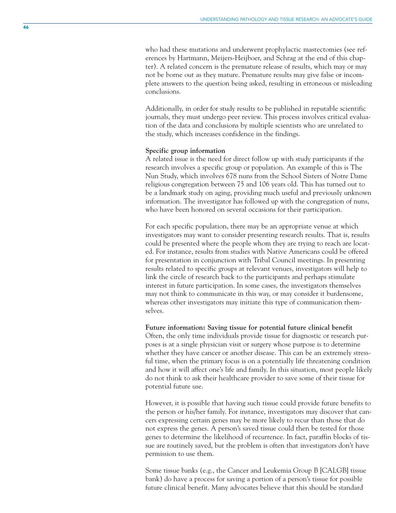who had these mutations and underwent prophylactic mastectomies (see references by Hartmann, Meijers-Heijboer, and Schrag at the end of this chapter). A related concern is the premature release of results, which may or may not be borne out as they mature. Premature results may give false or incomplete answers to the question being asked, resulting in erroneous or misleading conclusions.

Additionally, in order for study results to be published in reputable scientific journals, they must undergo peer review. This process involves critical evaluation of the data and conclusions by multiple scientists who are unrelated to the study, which increases confidence in the findings.

#### **Specific group information**

A related issue is the need for direct follow up with study participants if the research involves a specific group or population. An example of this is The Nun Study, which involves 678 nuns from the School Sisters of Notre Dame religious congregation between 75 and 106 years old. This has turned out to be a landmark study on aging, providing much useful and previously unknown information. The investigator has followed up with the congregation of nuns, who have been honored on several occasions for their participation.

For each specific population, there may be an appropriate venue at which investigators may want to consider presenting research results. That is, results could be presented where the people whom they are trying to reach are located. For instance, results from studies with Native Americans could be offered for presentation in conjunction with Tribal Council meetings. In presenting results related to specific groups at relevant venues, investigators will help to link the circle of research back to the participants and perhaps stimulate interest in future participation. In some cases, the investigators themselves may not think to communicate in this way, or may consider it burdensome, whereas other investigators may initiate this type of communication themselves.

#### **Future information: Saving tissue for potential future clinical benefit**

Often, the only time individuals provide tissue for diagnostic or research purposes is at a single physician visit or surgery whose purpose is to determine whether they have cancer or another disease. This can be an extremely stressful time, when the primary focus is on a potentially life threatening condition and how it will affect one's life and family. In this situation, most people likely do not think to ask their healthcare provider to save some of their tissue for potential future use.

However, it is possible that having such tissue could provide future benefits to the person or his/her family. For instance, investigators may discover that cancers expressing certain genes may be more likely to recur than those that do not express the genes. A person's saved tissue could then be tested for those genes to determine the likelihood of recurrence. In fact, paraffin blocks of tissue are routinely saved, but the problem is often that investigators don't have permission to use them.

Some tissue banks (e.g., the Cancer and Leukemia Group B [CALGB] tissue bank) do have a process for saving a portion of a person's tissue for possible future clinical benefit. Many advocates believe that this should be standard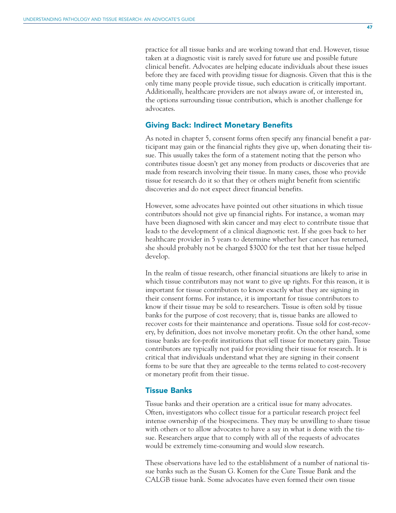practice for all tissue banks and are working toward that end. However, tissue taken at a diagnostic visit is rarely saved for future use and possible future clinical benefit. Advocates are helping educate individuals about these issues before they are faced with providing tissue for diagnosis. Given that this is the only time many people provide tissue, such education is critically important. Additionally, healthcare providers are not always aware of, or interested in, the options surrounding tissue contribution, which is another challenge for advocates.

### Giving Back: Indirect Monetary Benefits

As noted in chapter 5, consent forms often specify any financial benefit a participant may gain or the financial rights they give up, when donating their tissue. This usually takes the form of a statement noting that the person who contributes tissue doesn't get any money from products or discoveries that are made from research involving their tissue. In many cases, those who provide tissue for research do it so that they or others might benefit from scientific discoveries and do not expect direct financial benefits.

However, some advocates have pointed out other situations in which tissue contributors should not give up financial rights. For instance, a woman may have been diagnosed with skin cancer and may elect to contribute tissue that leads to the development of a clinical diagnostic test. If she goes back to her healthcare provider in 5 years to determine whether her cancer has returned, she should probably not be charged \$3000 for the test that her tissue helped develop.

In the realm of tissue research, other financial situations are likely to arise in which tissue contributors may not want to give up rights. For this reason, it is important for tissue contributors to know exactly what they are signing in their consent forms. For instance, it is important for tissue contributors to know if their tissue may be sold to researchers. Tissue is often sold by tissue banks for the purpose of cost recovery; that is, tissue banks are allowed to recover costs for their maintenance and operations. Tissue sold for cost-recovery, by definition, does not involve monetary profit. On the other hand, some tissue banks are for-profit institutions that sell tissue for monetary gain. Tissue contributors are typically not paid for providing their tissue for research. It is critical that individuals understand what they are signing in their consent forms to be sure that they are agreeable to the terms related to cost-recovery or monetary profit from their tissue.

### Tissue Banks

Tissue banks and their operation are a critical issue for many advocates. Often, investigators who collect tissue for a particular research project feel intense ownership of the biospecimens. They may be unwilling to share tissue with others or to allow advocates to have a say in what is done with the tissue. Researchers argue that to comply with all of the requests of advocates would be extremely time-consuming and would slow research.

These observations have led to the establishment of a number of national tissue banks such as the Susan G. Komen for the Cure Tissue Bank and the CALGB tissue bank. Some advocates have even formed their own tissue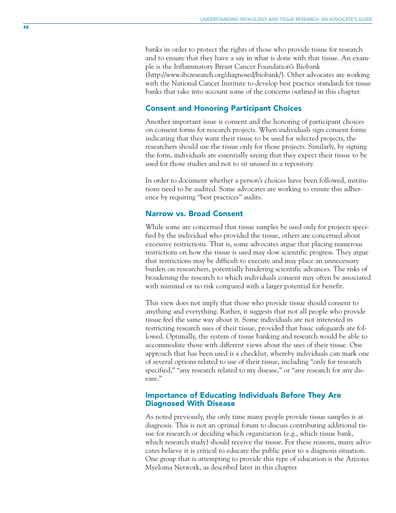banks in order to protect the rights of those who provide tissue for research and to ensure that they have a say in what is done with that tissue. An example is the Inflammatory Breast Cancer Foundation's Biobank (http://www.ibcresearch.org/diagnosed/biobank/). Other advocates are working with the National Cancer Institute to develop best practice standards for tissue banks that take into account some of the concerns outlined in this chapter.

### Consent and Honoring Participant Choices

Another important issue is consent and the honoring of participant choices on consent forms for research projects. When individuals sign consent forms indicating that they want their tissue to be used for selected projects, the researchers should use the tissue only for those projects. Similarly, by signing the form, individuals are essentially saying that they expect their tissue to be used for those studies and not to sit unused in a repository.

In order to document whether a person's choices have been followed, institutions need to be audited. Some advocates are working to ensure this adherence by requiring "best practices" audits.

### Narrow vs. Broad Consent

While some are concerned that tissue samples be used only for projects specified by the individual who provided the tissue, others are concerned about excessive restrictions. That is, some advocates argue that placing numerous restrictions on how the tissue is used may slow scientific progress. They argue that restrictions may be difficult to execute and may place an unnecessary burden on researchers, potentially hindering scientific advances. The risks of broadening the research to which individuals consent may often be associated with minimal or no risk compared with a larger potential for benefit.

This view does not imply that those who provide tissue should consent to anything and everything. Rather, it suggests that not all people who provide tissue feel the same way about it. Some individuals are not interested in restricting research uses of their tissue, provided that basic safeguards are followed. Optimally, the system of tissue banking and research would be able to accommodate those with different views about the uses of their tissue. One approach that has been used is a checklist, whereby individuals can mark one of several options related to use of their tissue, including "only for research specified," "any research related to my disease," or "any research for any disease."

### Importance of Educating Individuals Before They Are Diagnosed With Disease

As noted previously, the only time many people provide tissue samples is at diagnosis. This is not an optimal forum to discuss contributing additional tissue for research or deciding which organization (e.g., which tissue bank, which research study) should receive the tissue. For these reasons, many advocates believe it is critical to educate the public prior to a diagnosis situation. One group that is attempting to provide this type of education is the Arizona Myeloma Network, as described later in this chapter.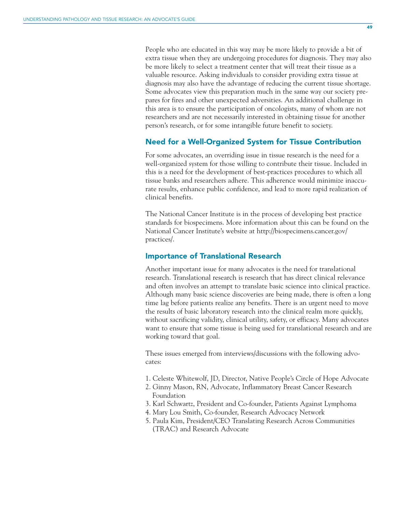People who are educated in this way may be more likely to provide a bit of extra tissue when they are undergoing procedures for diagnosis. They may also be more likely to select a treatment center that will treat their tissue as a valuable resource. Asking individuals to consider providing extra tissue at diagnosis may also have the advantage of reducing the current tissue shortage. Some advocates view this preparation much in the same way our society prepares for fires and other unexpected adversities. An additional challenge in this area is to ensure the participation of oncologists, many of whom are not researchers and are not necessarily interested in obtaining tissue for another person's research, or for some intangible future benefit to society.

### Need for a Well-Organized System for Tissue Contribution

For some advocates, an overriding issue in tissue research is the need for a well-organized system for those willing to contribute their tissue. Included in this is a need for the development of best-practices procedures to which all tissue banks and researchers adhere. This adherence would minimize inaccurate results, enhance public confidence, and lead to more rapid realization of clinical benefits.

The National Cancer Institute is in the process of developing best practice standards for biospecimens. More information about this can be found on the National Cancer Institute's website at http://biospecimens.cancer.gov/ practices/.

#### Importance of Translational Research

Another important issue for many advocates is the need for translational research. Translational research is research that has direct clinical relevance and often involves an attempt to translate basic science into clinical practice. Although many basic science discoveries are being made, there is often a long time lag before patients realize any benefits. There is an urgent need to move the results of basic laboratory research into the clinical realm more quickly, without sacrificing validity, clinical utility, safety, or efficacy. Many advocates want to ensure that some tissue is being used for translational research and are working toward that goal.

These issues emerged from interviews/discussions with the following advocates:

- 1. Celeste Whitewolf, JD, Director, Native People's Circle of Hope Advocate
- 2. Ginny Mason, RN, Advocate, Inflammatory Breast Cancer Research Foundation
- 3. Karl Schwartz, President and Co-founder, Patients Against Lymphoma
- 4. Mary Lou Smith, Co-founder, Research Advocacy Network
- 5. Paula Kim, President/CEO Translating Research Across Communities (TRAC) and Research Advocate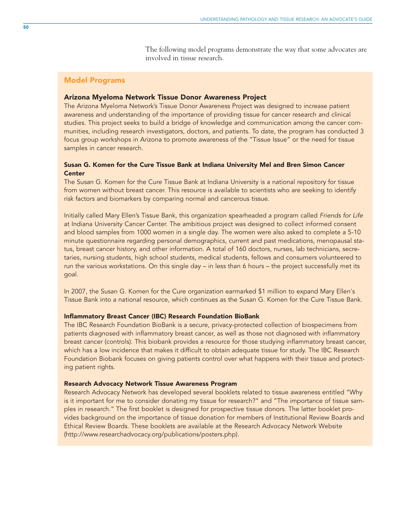The following model programs demonstrate the way that some advocates are involved in tissue research.

#### Model Programs

#### Arizona Myeloma Network Tissue Donor Awareness Project

The Arizona Myeloma Network's Tissue Donor Awareness Project was designed to increase patient awareness and understanding of the importance of providing tissue for cancer research and clinical studies. This project seeks to build a bridge of knowledge and communication among the cancer communities, including research investigators, doctors, and patients. To date, the program has conducted 3 focus group workshops in Arizona to promote awareness of the "Tissue Issue" or the need for tissue samples in cancer research.

#### Susan G. Komen for the Cure Tissue Bank at Indiana University Mel and Bren Simon Cancer **Center**

The Susan G. Komen for the Cure Tissue Bank at Indiana University is a national repository for tissue from women without breast cancer. This resource is available to scientists who are seeking to identify risk factors and biomarkers by comparing normal and cancerous tissue.

Initially called Mary Ellen's Tissue Bank, this organization spearheaded a program called Friends for Life at Indiana University Cancer Center. The ambitious project was designed to collect informed consent and blood samples from 1000 women in a single day. The women were also asked to complete a 5-10 minute questionnaire regarding personal demographics, current and past medications, menopausal status, breast cancer history, and other information. A total of 160 doctors, nurses, lab technicians, secretaries, nursing students, high school students, medical students, fellows and consumers volunteered to run the various workstations. On this single day – in less than 6 hours – the project successfully met its goal.

In 2007, the Susan G. Komen for the Cure organization earmarked \$1 million to expand Mary Ellen's Tissue Bank into a national resource, which continues as the Susan G. Komen for the Cure Tissue Bank.

#### Inflammatory Breast Cancer (IBC) Research Foundation BioBank

The IBC Research Foundation BioBank is a secure, privacy-protected collection of biospecimens from patients diagnosed with inflammatory breast cancer, as well as those not diagnosed with inflammatory breast cancer (controls). This biobank provides a resource for those studying inflammatory breast cancer, which has a low incidence that makes it difficult to obtain adequate tissue for study. The IBC Research Foundation Biobank focuses on giving patients control over what happens with their tissue and protecting patient rights.

#### Research Advocacy Network Tissue Awareness Program

Research Advocacy Network has developed several booklets related to tissue awareness entitled "Why is it important for me to consider donating my tissue for research?" and "The importance of tissue samples in research." The first booklet is designed for prospective tissue donors. The latter booklet provides background on the importance of tissue donation for members of Institutional Review Boards and Ethical Review Boards. These booklets are available at the Research Advocacy Network Website (http://www.researchadvocacy.org/publications/posters.php).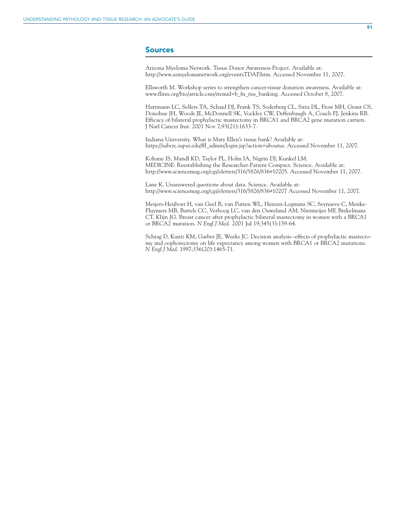#### Sources

Arizona Myeloma Network. Tissue Donor Awareness Project. Available at: http://www.azmyelomanetwork.org/eventsTDAP.htm. Accessed November 11, 2007.

Ellsworth M. Workshop series to strengthen cancer-tissue donation awareness. Available at: www.flinn.org/bio/article.cms/itemid=b\_fn\_tiss\_banking. Accessed October 8, 2007.

Hartmann LC, Sellers TA, Schaid DJ, Frank TS, Soderberg CL, Sitta DL, Frost MH, Grant CS, Donohue JH, Woods JE, McDonnell SK, Vockley CW, Deffenbaugh A, Couch FJ, Jenkins RB. Efficacy of bilateral prophylactic mastectomy in BRCA1 and BRCA2 gene mutation carriers. J Natl Cancer Inst. 2001 Nov 7;93(21):1633-7.

Indiana University. What is Mary Ellen's tissue bank? Available at: https://iubcrc.iupui.edu/ffl\_admin/login.jsp?action=aboutus. Accessed November 11, 2007.

Kohane IS, Mandl KD, Taylor PL, Holm IA, Nigrin DJ, Kunkel LM. MEDICINE: Reestablishing the Researcher-Patient Compact. Science. Available at: http://www.sciencemag.org/cgi/eletters/316/5826/836#10205. Accessed November 11, 2007.

Lane K. Unanswered questions about data. Science. Available at: http://www.sciencemag.org/cgi/eletters/316/5826/836#10207 Accessed November 11, 2007.

Meijers-Heijboer H, van Geel B, van Putten WL, Henzen-Logmans SC, Seynaeve C, Menke-Pluymers MB, Bartels CC, Verhoog LC, van den Ouweland AM, Niermeijer MF, Brekelmans CT, Klijn JG. Breast cancer after prophylactic bilateral mastectomy in women with a BRCA1 or BRCA2 mutation. *N Engl J Med.* 2001 Jul 19;345(3):159-64.

Schrag D, Kuntz KM, Garber JE, Weeks JC. Decision analysis--effects of prophylactic mastectomy and oophorectomy on life expectancy among women with BRCA1 or BRCA2 mutations. *N Engl J Med*. 1997;336(20):1465-71.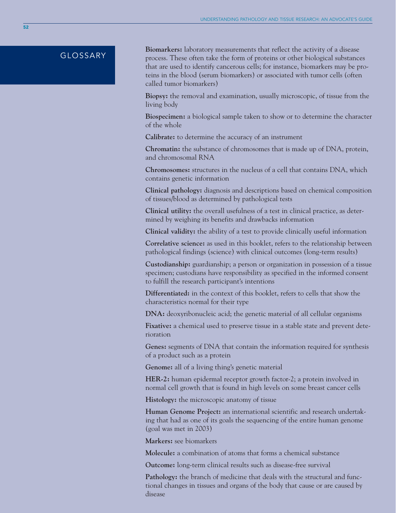### GLOSSARY

**Biomarkers:** laboratory measurements that reflect the activity of a disease process. These often take the form of proteins or other biological substances that are used to identify cancerous cells; for instance, biomarkers may be proteins in the blood (serum biomarkers) or associated with tumor cells (often called tumor biomarkers)

**Biopsy:** the removal and examination, usually microscopic, of tissue from the living body

**Biospecimen:** a biological sample taken to show or to determine the character of the whole

**Calibrate:** to determine the accuracy of an instrument

**Chromatin:** the substance of chromosomes that is made up of DNA, protein, and chromosomal RNA

**Chromosomes:** structures in the nucleus of a cell that contains DNA, which contains genetic information

**Clinical pathology:** diagnosis and descriptions based on chemical composition of tissues/blood as determined by pathological tests

**Clinical utility:** the overall usefulness of a test in clinical practice, as determined by weighing its benefits and drawbacks information

**Clinical validity:** the ability of a test to provide clinically useful information

**Correlative science:** as used in this booklet, refers to the relationship between pathological findings (science) with clinical outcomes (long-term results)

**Custodianship:** guardianship; a person or organization in possession of a tissue specimen; custodians have responsibility as specified in the informed consent to fulfill the research participant's intentions

**Differentiated:** in the context of this booklet, refers to cells that show the characteristics normal for their type

**DNA:** deoxyribonucleic acid; the genetic material of all cellular organisms

**Fixative:** a chemical used to preserve tissue in a stable state and prevent deterioration

**Genes:** segments of DNA that contain the information required for synthesis of a product such as a protein

**Genome:** all of a living thing's genetic material

**HER-2:** human epidermal receptor growth factor-2; a protein involved in normal cell growth that is found in high levels on some breast cancer cells

**Histology:** the microscopic anatomy of tissue

**Human Genome Project:** an international scientific and research undertaking that had as one of its goals the sequencing of the entire human genome (goal was met in 2003)

**Markers:** see biomarkers

**Molecule:** a combination of atoms that forms a chemical substance

**Outcome:** long-term clinical results such as disease-free survival

**Pathology:** the branch of medicine that deals with the structural and functional changes in tissues and organs of the body that cause or are caused by disease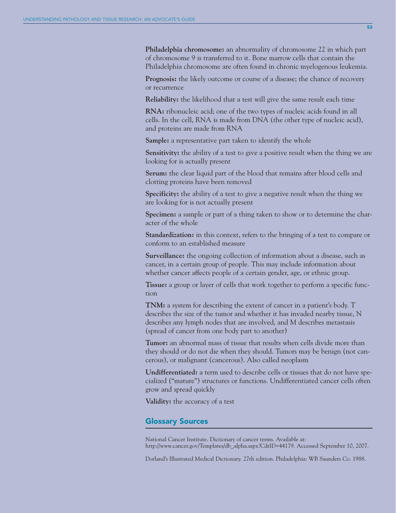**Philadelphia chromosome:** an abnormality of chromosome 22 in which part of chromosome 9 is transferred to it. Bone marrow cells that contain the Philadelphia chromosome are often found in chronic myelogenous leukemia.

**Prognosis:** the likely outcome or course of a disease; the chance of recovery or recurrence

**Reliability:** the likelihood that a test will give the same result each time

**RNA:** ribonucleic acid; one of the two types of nucleic acids found in all cells. In the cell, RNA is made from DNA (the other type of nucleic acid), and proteins are made from RNA

**Sample:** a representative part taken to identify the whole

**Sensitivity:** the ability of a test to give a positive result when the thing we are looking for is actually present

**Serum:** the clear liquid part of the blood that remains after blood cells and clotting proteins have been removed

**Specificity:** the ability of a test to give a negative result when the thing we are looking for is not actually present

**Specimen:** a sample or part of a thing taken to show or to determine the character of the whole

**Standardization:** in this context, refers to the bringing of a test to compare or conform to an established measure

**Surveillance:** the ongoing collection of information about a disease, such as cancer, in a certain group of people. This may include information about whether cancer affects people of a certain gender, age, or ethnic group.

**Tissue:** a group or layer of cells that work together to perform a specific function

**TNM:** a system for describing the extent of cancer in a patient's body. T describes the size of the tumor and whether it has invaded nearby tissue, N describes any lymph nodes that are involved, and M describes metastasis (spread of cancer from one body part to another)

**Tumor:** an abnormal mass of tissue that results when cells divide more than they should or do not die when they should. Tumors may be benign (not cancerous), or malignant (cancerous). Also called neoplasm

**Undifferentiated:** a term used to describe cells or tissues that do not have specialized ("mature") structures or functions. Undifferentiated cancer cells often grow and spread quickly

**Validity:** the accuracy of a test

### Glossary Sources

National Cancer Institute. Dictionary of cancer terms. Available at: http://www.cancer.gov/Templates/db\_alpha.aspx?CdrID=44179. Accessed September 10, 2007.

Dorland's Illustrated Medical Dictionary. 27th edition. Philadelphia: WB Saunders Co. 1988.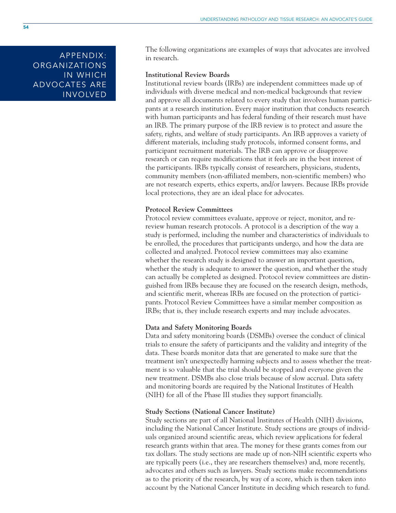### APPENDIX: ORGANIZATIONS IN WHICH ADVOCATES ARE INVOLVED

The following organizations are examples of ways that advocates are involved in research.

### **Institutional Review Boards**

Institutional review boards (IRBs) are independent committees made up of individuals with diverse medical and non-medical backgrounds that review and approve all documents related to every study that involves human participants at a research institution. Every major institution that conducts research with human participants and has federal funding of their research must have an IRB. The primary purpose of the IRB review is to protect and assure the safety, rights, and welfare of study participants. An IRB approves a variety of different materials, including study protocols, informed consent forms, and participant recruitment materials. The IRB can approve or disapprove research or can require modifications that it feels are in the best interest of the participants. IRBs typically consist of researchers, physicians, students, community members (non-affiliated members, non-scientific members) who are not research experts, ethics experts, and/or lawyers. Because IRBs provide local protections, they are an ideal place for advocates.

#### **Protocol Review Committees**

Protocol review committees evaluate, approve or reject, monitor, and rereview human research protocols. A protocol is a description of the way a study is performed, including the number and characteristics of individuals to be enrolled, the procedures that participants undergo, and how the data are collected and analyzed. Protocol review committees may also examine whether the research study is designed to answer an important question, whether the study is adequate to answer the question, and whether the study can actually be completed as designed. Protocol review committees are distinguished from IRBs because they are focused on the research design, methods, and scientific merit, whereas IRBs are focused on the protection of participants. Protocol Review Committees have a similar member composition as IRBs; that is, they include research experts and may include advocates.

#### **Data and Safety Monitoring Boards**

Data and safety monitoring boards (DSMBs) oversee the conduct of clinical trials to ensure the safety of participants and the validity and integrity of the data. These boards monitor data that are generated to make sure that the treatment isn't unexpectedly harming subjects and to assess whether the treatment is so valuable that the trial should be stopped and everyone given the new treatment. DSMBs also close trials because of slow accrual. Data safety and monitoring boards are required by the National Institutes of Health (NIH) for all of the Phase III studies they support financially.

#### **Study Sections (National Cancer Institute)**

Study sections are part of all National Institutes of Health (NIH) divisions, including the National Cancer Institute. Study sections are groups of individuals organized around scientific areas, which review applications for federal research grants within that area. The money for these grants comes from our tax dollars. The study sections are made up of non-NIH scientific experts who are typically peers (i.e., they are researchers themselves) and, more recently, advocates and others such as lawyers. Study sections make recommendations as to the priority of the research, by way of a score, which is then taken into account by the National Cancer Institute in deciding which research to fund.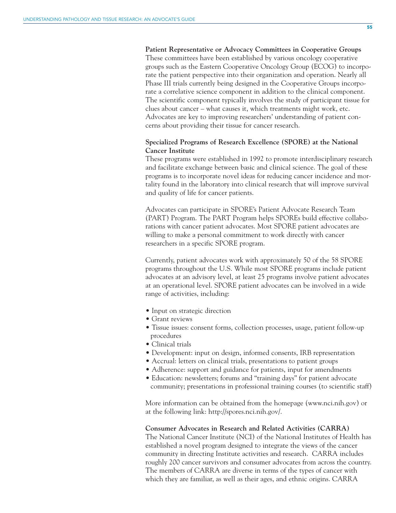**Patient Representative or Advocacy Committees in Cooperative Groups** These committees have been established by various oncology cooperative groups such as the Eastern Cooperative Oncology Group (ECOG) to incorporate the patient perspective into their organization and operation. Nearly all Phase III trials currently being designed in the Cooperative Groups incorporate a correlative science component in addition to the clinical component. The scientific component typically involves the study of participant tissue for clues about cancer – what causes it, which treatments might work, etc. Advocates are key to improving researchers' understanding of patient concerns about providing their tissue for cancer research.

### **Specialized Programs of Research Excellence (SPORE) at the National Cancer Institute**

These programs were established in 1992 to promote interdisciplinary research and facilitate exchange between basic and clinical science. The goal of these programs is to incorporate novel ideas for reducing cancer incidence and mortality found in the laboratory into clinical research that will improve survival and quality of life for cancer patients.

Advocates can participate in SPORE's Patient Advocate Research Team (PART) Program. The PART Program helps SPOREs build effective collaborations with cancer patient advocates. Most SPORE patient advocates are willing to make a personal commitment to work directly with cancer researchers in a specific SPORE program.

Currently, patient advocates work with approximately 50 of the 58 SPORE programs throughout the U.S. While most SPORE programs include patient advocates at an advisory level, at least 25 programs involve patient advocates at an operational level. SPORE patient advocates can be involved in a wide range of activities, including:

- Input on strategic direction
- Grant reviews
- Tissue issues: consent forms, collection processes, usage, patient follow-up procedures
- Clinical trials
- Development: input on design, informed consents, IRB representation
- Accrual: letters on clinical trials, presentations to patient groups
- Adherence: support and guidance for patients, input for amendments
- Education: newsletters; forums and "training days" for patient advocate community; presentations in professional training courses (to scientific staff)

More information can be obtained from the homepage (www.nci.nih.gov) or at the following link: http://spores.nci.nih.gov/.

#### **Consumer Advocates in Research and Related Activities (CARRA)**

The National Cancer Institute (NCI) of the National Institutes of Health has established a novel program designed to integrate the views of the cancer community in directing Institute activities and research. CARRA includes roughly 200 cancer survivors and consumer advocates from across the country. The members of CARRA are diverse in terms of the types of cancer with which they are familiar, as well as their ages, and ethnic origins. CARRA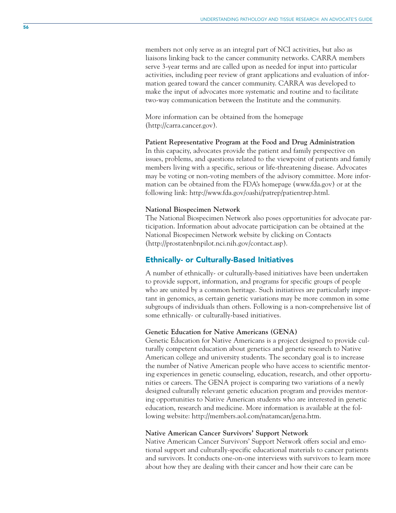members not only serve as an integral part of NCI activities, but also as liaisons linking back to the cancer community networks. CARRA members serve 3-year terms and are called upon as needed for input into particular activities, including peer review of grant applications and evaluation of information geared toward the cancer community. CARRA was developed to make the input of advocates more systematic and routine and to facilitate two-way communication between the Institute and the community.

More information can be obtained from the homepage (http://carra.cancer.gov).

#### **Patient Representative Program at the Food and Drug Administration**

In this capacity, advocates provide the patient and family perspective on issues, problems, and questions related to the viewpoint of patients and family members living with a specific, serious or life-threatening disease. Advocates may be voting or non-voting members of the advisory committee. More information can be obtained from the FDA's homepage (www.fda.gov) or at the following link: http://www.fda.gov/oashi/patrep/patientrep.html.

#### **National Biospecimen Network**

The National Biospecimen Network also poses opportunities for advocate participation. Information about advocate participation can be obtained at the National Biospecimen Network website by clicking on Contacts (http://prostatenbnpilot.nci.nih.gov/contact.asp).

### Ethnically- or Culturally-Based Initiatives

A number of ethnically- or culturally-based initiatives have been undertaken to provide support, information, and programs for specific groups of people who are united by a common heritage. Such initiatives are particularly important in genomics, as certain genetic variations may be more common in some subgroups of individuals than others. Following is a non-comprehensive list of some ethnically- or culturally-based initiatives.

#### **Genetic Education for Native Americans (GENA)**

Genetic Education for Native Americans is a project designed to provide culturally competent education about genetics and genetic research to Native American college and university students. The secondary goal is to increase the number of Native American people who have access to scientific mentoring experiences in genetic counseling, education, research, and other opportunities or careers. The GENA project is comparing two variations of a newly designed culturally relevant genetic education program and provides mentoring opportunities to Native American students who are interested in genetic education, research and medicine. More information is available at the following website: http://members.aol.com/natamcan/gena.htm.

#### **Native American Cancer Survivors' Support Network**

Native American Cancer Survivors' Support Network offers social and emotional support and culturally-specific educational materials to cancer patients and survivors. It conducts one-on-one interviews with survivors to learn more about how they are dealing with their cancer and how their care can be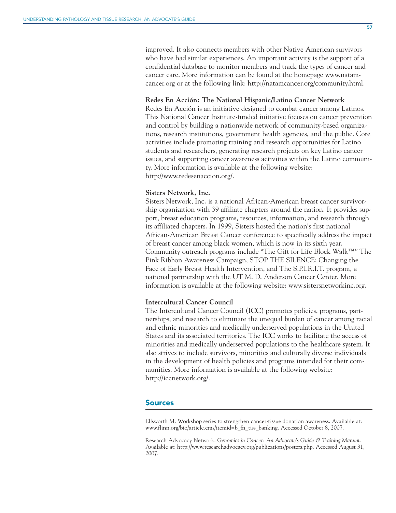improved. It also connects members with other Native American survivors who have had similar experiences. An important activity is the support of a confidential database to monitor members and track the types of cancer and cancer care. More information can be found at the homepage www.natamcancer.org or at the following link: http://natamcancer.org/community.html.

#### **Redes En Acción: The National Hispanic/Latino Cancer Network**

Redes En Acción is an initiative designed to combat cancer among Latinos. This National Cancer Institute-funded initiative focuses on cancer prevention and control by building a nationwide network of community-based organizations, research institutions, government health agencies, and the public. Core activities include promoting training and research opportunities for Latino students and researchers, generating research projects on key Latino cancer issues, and supporting cancer awareness activities within the Latino community. More information is available at the following website: http://www.redesenaccion.org/.

#### **Sisters Network, Inc.**

Sisters Network, Inc. is a national African-American breast cancer survivorship organization with 39 affiliate chapters around the nation. It provides support, breast education programs, resources, information, and research through its affiliated chapters. In 1999, Sisters hosted the nation's first national African-American Breast Cancer conference to specifically address the impact of breast cancer among black women, which is now in its sixth year. Community outreach programs include "The Gift for Life Block Walk™" The Pink Ribbon Awareness Campaign, STOP THE SILENCE: Changing the Face of Early Breast Health Intervention, and The S.P.I.R.I.T. program, a national partnership with the UT M. D. Anderson Cancer Center. More information is available at the following website: www.sistersnetworkinc.org.

#### **Intercultural Cancer Council**

The Intercultural Cancer Council (ICC) promotes policies, programs, partnerships, and research to eliminate the unequal burden of cancer among racial and ethnic minorities and medically underserved populations in the United States and its associated territories. The ICC works to facilitate the access of minorities and medically underserved populations to the healthcare system. It also strives to include survivors, minorities and culturally diverse individuals in the development of health policies and programs intended for their communities. More information is available at the following website: http://iccnetwork.org/.

#### Sources

Ellsworth M. Workshop series to strengthen cancer-tissue donation awareness. Available at: www.flinn.org/bio/article.cms/itemid=b\_fn\_tiss\_banking. Accessed October 8, 2007.

Research Advocacy Network. *Genomics in Cancer: An Advocate's Guide & Training Manual.* Available at: http://www.researchadvocacy.org/publications/posters.php. Accessed August 31, 2007.